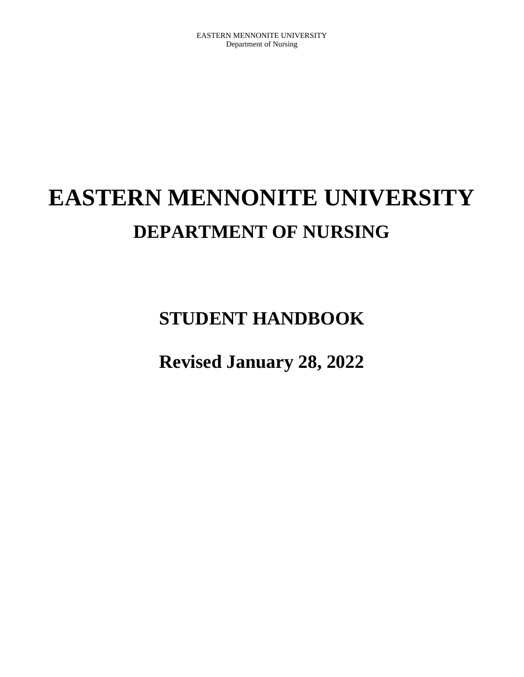# **EASTERN MENNONITE UNIVERSITY DEPARTMENT OF NURSING**

**STUDENT HANDBOOK**

**Revised January 28, 2022**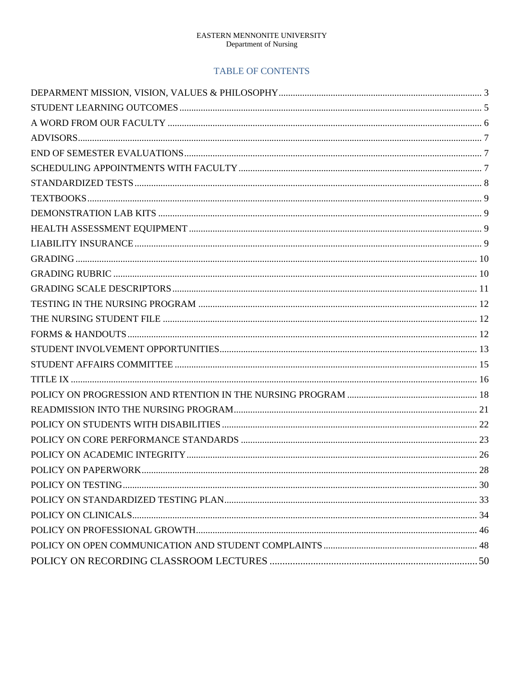# TABLE OF CONTENTS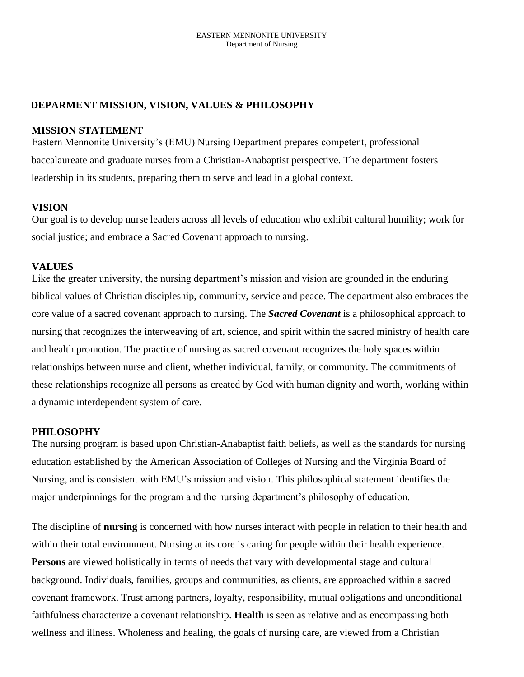# <span id="page-2-0"></span>**DEPARMENT MISSION, VISION, VALUES & PHILOSOPHY**

# **MISSION STATEMENT**

Eastern Mennonite University's (EMU) Nursing Department prepares competent, professional baccalaureate and graduate nurses from a Christian-Anabaptist perspective. The department fosters leadership in its students, preparing them to serve and lead in a global context.

# **VISION**

Our goal is to develop nurse leaders across all levels of education who exhibit cultural humility; work for social justice; and embrace a Sacred Covenant approach to nursing.

# **VALUES**

Like the greater university, the nursing department's mission and vision are grounded in the enduring biblical values of Christian discipleship, community, service and peace. The department also embraces the core value of a sacred covenant approach to nursing. The *Sacred Covenant* is a philosophical approach to nursing that recognizes the interweaving of art, science, and spirit within the sacred ministry of health care and health promotion. The practice of nursing as sacred covenant recognizes the holy spaces within relationships between nurse and client, whether individual, family, or community. The commitments of these relationships recognize all persons as created by God with human dignity and worth, working within a dynamic interdependent system of care.

# **PHILOSOPHY**

The nursing program is based upon Christian-Anabaptist faith beliefs, as well as the standards for nursing education established by the American Association of Colleges of Nursing and the Virginia Board of Nursing, and is consistent with EMU's mission and vision. This philosophical statement identifies the major underpinnings for the program and the nursing department's philosophy of education.

The discipline of **nursing** is concerned with how nurses interact with people in relation to their health and within their total environment. Nursing at its core is caring for people within their health experience. **Persons** are viewed holistically in terms of needs that vary with developmental stage and cultural background. Individuals, families, groups and communities, as clients, are approached within a sacred covenant framework. Trust among partners, loyalty, responsibility, mutual obligations and unconditional faithfulness characterize a covenant relationship. **Health** is seen as relative and as encompassing both wellness and illness. Wholeness and healing, the goals of nursing care, are viewed from a Christian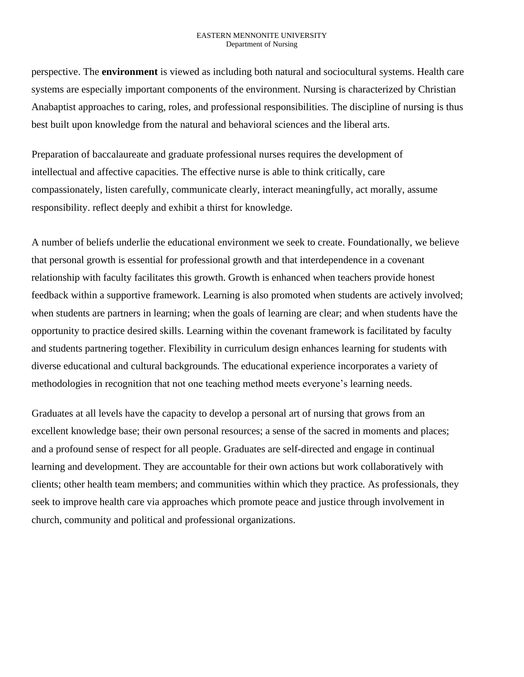perspective. The **environment** is viewed as including both natural and sociocultural systems. Health care systems are especially important components of the environment. Nursing is characterized by Christian Anabaptist approaches to caring, roles, and professional responsibilities. The discipline of nursing is thus best built upon knowledge from the natural and behavioral sciences and the liberal arts.

Preparation of baccalaureate and graduate professional nurses requires the development of intellectual and affective capacities. The effective nurse is able to think critically, care compassionately, listen carefully, communicate clearly, interact meaningfully, act morally, assume responsibility. reflect deeply and exhibit a thirst for knowledge.

A number of beliefs underlie the educational environment we seek to create. Foundationally, we believe that personal growth is essential for professional growth and that interdependence in a covenant relationship with faculty facilitates this growth. Growth is enhanced when teachers provide honest feedback within a supportive framework. Learning is also promoted when students are actively involved; when students are partners in learning; when the goals of learning are clear; and when students have the opportunity to practice desired skills. Learning within the covenant framework is facilitated by faculty and students partnering together. Flexibility in curriculum design enhances learning for students with diverse educational and cultural backgrounds*.* The educational experience incorporates a variety of methodologies in recognition that not one teaching method meets everyone's learning needs.

Graduates at all levels have the capacity to develop a personal art of nursing that grows from an excellent knowledge base; their own personal resources; a sense of the sacred in moments and places; and a profound sense of respect for all people. Graduates are self-directed and engage in continual learning and development. They are accountable for their own actions but work collaboratively with clients; other health team members; and communities within which they practice*.* As professionals, they seek to improve health care via approaches which promote peace and justice through involvement in church, community and political and professional organizations.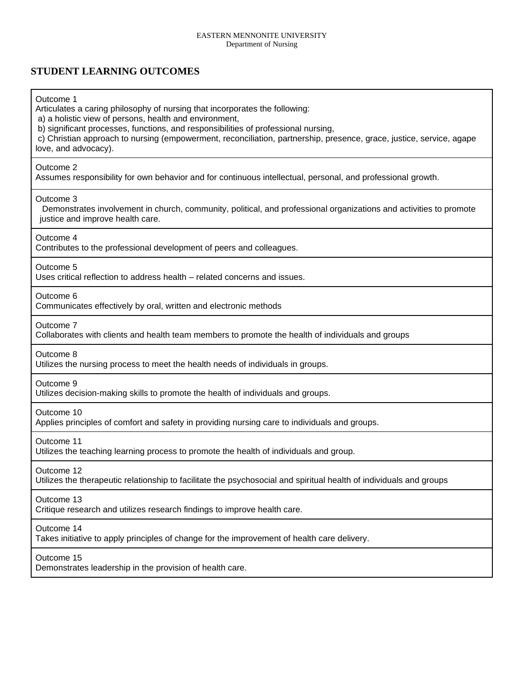# <span id="page-4-0"></span>**STUDENT LEARNING OUTCOMES**

Outcome 1

Articulates a caring philosophy of nursing that incorporates the following:

a) a holistic view of persons, health and environment,

b) significant processes, functions, and responsibilities of professional nursing,

c) Christian approach to nursing (empowerment, reconciliation, partnership, presence, grace, justice, service, agape love, and advocacy).

#### Outcome 2

Assumes responsibility for own behavior and for continuous intellectual, personal, and professional growth.

#### Outcome 3

Demonstrates involvement in church, community, political, and professional organizations and activities to promote justice and improve health care.

Outcome 4

Contributes to the professional development of peers and colleagues.

Outcome 5

Uses critical reflection to address health – related concerns and issues.

Outcome 6

Communicates effectively by oral, written and electronic methods

Outcome 7

Collaborates with clients and health team members to promote the health of individuals and groups

Outcome 8

Utilizes the nursing process to meet the health needs of individuals in groups.

Outcome 9

Utilizes decision-making skills to promote the health of individuals and groups.

Outcome 10

Applies principles of comfort and safety in providing nursing care to individuals and groups.

Outcome 11

Utilizes the teaching learning process to promote the health of individuals and group.

Outcome 12

Utilizes the therapeutic relationship to facilitate the psychosocial and spiritual health of individuals and groups

Outcome 13

Critique research and utilizes research findings to improve health care.

Outcome 14

Takes initiative to apply principles of change for the improvement of health care delivery.

Outcome 15

Demonstrates leadership in the provision of health care.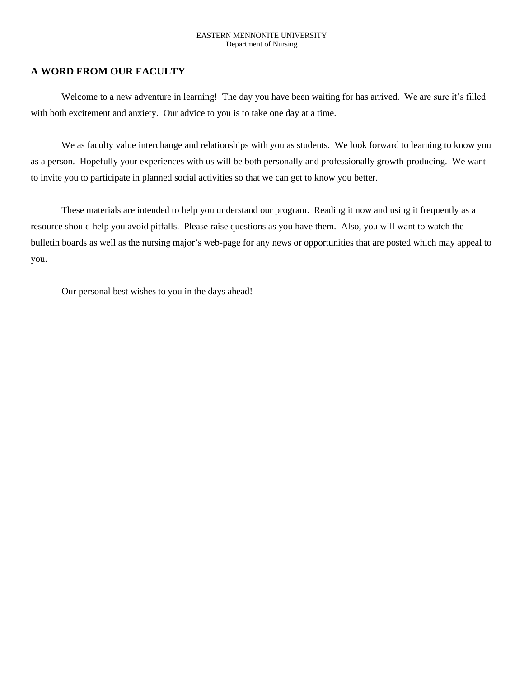# <span id="page-5-0"></span>**A WORD FROM OUR FACULTY**

Welcome to a new adventure in learning! The day you have been waiting for has arrived. We are sure it's filled with both excitement and anxiety. Our advice to you is to take one day at a time.

We as faculty value interchange and relationships with you as students. We look forward to learning to know you as a person. Hopefully your experiences with us will be both personally and professionally growth-producing. We want to invite you to participate in planned social activities so that we can get to know you better.

These materials are intended to help you understand our program. Reading it now and using it frequently as a resource should help you avoid pitfalls. Please raise questions as you have them. Also, you will want to watch the bulletin boards as well as the nursing major's web-page for any news or opportunities that are posted which may appeal to you.

Our personal best wishes to you in the days ahead!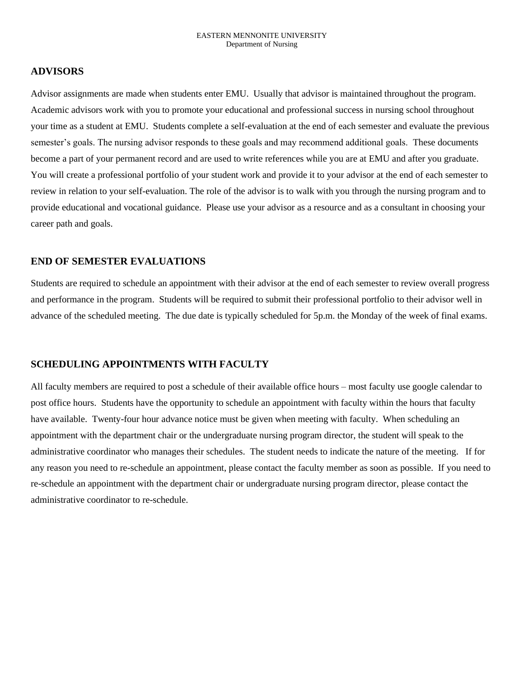# <span id="page-6-0"></span>**ADVISORS**

Advisor assignments are made when students enter EMU. Usually that advisor is maintained throughout the program. Academic advisors work with you to promote your educational and professional success in nursing school throughout your time as a student at EMU. Students complete a self-evaluation at the end of each semester and evaluate the previous semester's goals. The nursing advisor responds to these goals and may recommend additional goals. These documents become a part of your permanent record and are used to write references while you are at EMU and after you graduate. You will create a professional portfolio of your student work and provide it to your advisor at the end of each semester to review in relation to your self-evaluation. The role of the advisor is to walk with you through the nursing program and to provide educational and vocational guidance. Please use your advisor as a resource and as a consultant in choosing your career path and goals.

# <span id="page-6-1"></span>**END OF SEMESTER EVALUATIONS**

Students are required to schedule an appointment with their advisor at the end of each semester to review overall progress and performance in the program. Students will be required to submit their professional portfolio to their advisor well in advance of the scheduled meeting. The due date is typically scheduled for 5p.m. the Monday of the week of final exams.

## <span id="page-6-2"></span>**SCHEDULING APPOINTMENTS WITH FACULTY**

All faculty members are required to post a schedule of their available office hours – most faculty use google calendar to post office hours. Students have the opportunity to schedule an appointment with faculty within the hours that faculty have available. Twenty-four hour advance notice must be given when meeting with faculty. When scheduling an appointment with the department chair or the undergraduate nursing program director, the student will speak to the administrative coordinator who manages their schedules. The student needs to indicate the nature of the meeting. If for any reason you need to re-schedule an appointment, please contact the faculty member as soon as possible. If you need to re-schedule an appointment with the department chair or undergraduate nursing program director, please contact the administrative coordinator to re-schedule.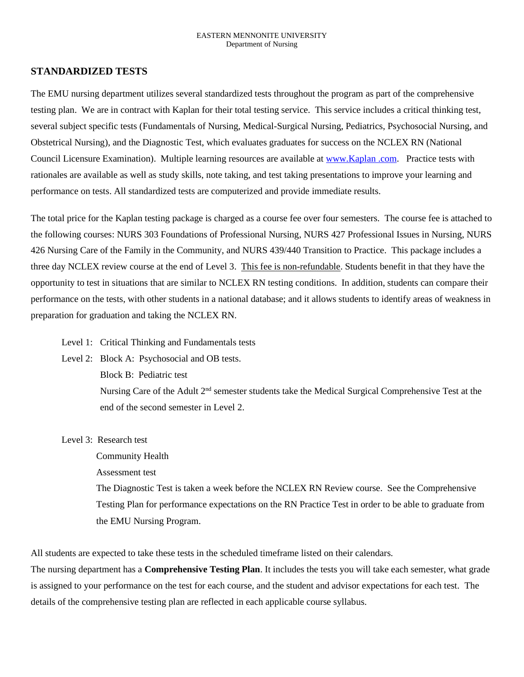# <span id="page-7-0"></span>**STANDARDIZED TESTS**

The EMU nursing department utilizes several standardized tests throughout the program as part of the comprehensive testing plan. We are in contract with Kaplan for their total testing service. This service includes a critical thinking test, several subject specific tests (Fundamentals of Nursing, Medical-Surgical Nursing, Pediatrics, Psychosocial Nursing, and Obstetrical Nursing), and the Diagnostic Test, which evaluates graduates for success on the NCLEX RN (National Council Licensure Examination). Multiple learning resources are available at [www.Kaplan .com.](http://www.kaplan.com/) Practice tests with rationales are available as well as study skills, note taking, and test taking presentations to improve your learning and performance on tests. All standardized tests are computerized and provide immediate results.

The total price for the Kaplan testing package is charged as a course fee over four semesters. The course fee is attached to the following courses: NURS 303 Foundations of Professional Nursing, NURS 427 Professional Issues in Nursing, NURS 426 Nursing Care of the Family in the Community, and NURS 439/440 Transition to Practice. This package includes a three day NCLEX review course at the end of Level 3. This fee is non-refundable. Students benefit in that they have the opportunity to test in situations that are similar to NCLEX RN testing conditions. In addition, students can compare their performance on the tests, with other students in a national database; and it allows students to identify areas of weakness in preparation for graduation and taking the NCLEX RN.

- Level 1: Critical Thinking and Fundamentals tests
- Level 2: Block A: Psychosocial and OB tests.
	- Block B: Pediatric test

Nursing Care of the Adult 2<sup>nd</sup> semester students take the Medical Surgical Comprehensive Test at the end of the second semester in Level 2.

#### Level 3: Research test

- Community Health
- Assessment test

The Diagnostic Test is taken a week before the NCLEX RN Review course. See the Comprehensive Testing Plan for performance expectations on the RN Practice Test in order to be able to graduate from the EMU Nursing Program.

All students are expected to take these tests in the scheduled timeframe listed on their calendars.

The nursing department has a **Comprehensive Testing Plan**. It includes the tests you will take each semester, what grade is assigned to your performance on the test for each course, and the student and advisor expectations for each test. The details of the comprehensive testing plan are reflected in each applicable course syllabus.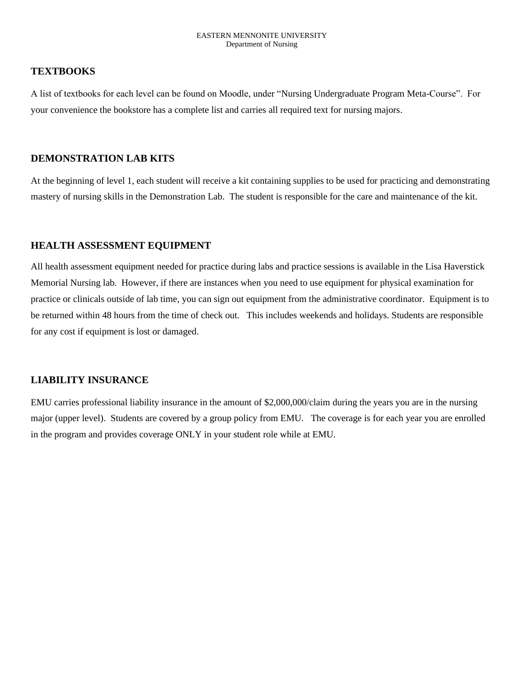# <span id="page-8-0"></span>**TEXTBOOKS**

A list of textbooks for each level can be found on Moodle, under "Nursing Undergraduate Program Meta-Course". For your convenience the bookstore has a complete list and carries all required text for nursing majors.

## <span id="page-8-1"></span>**DEMONSTRATION LAB KITS**

At the beginning of level 1, each student will receive a kit containing supplies to be used for practicing and demonstrating mastery of nursing skills in the Demonstration Lab. The student is responsible for the care and maintenance of the kit.

# <span id="page-8-2"></span>**HEALTH ASSESSMENT EQUIPMENT**

All health assessment equipment needed for practice during labs and practice sessions is available in the Lisa Haverstick Memorial Nursing lab. However, if there are instances when you need to use equipment for physical examination for practice or clinicals outside of lab time, you can sign out equipment from the administrative coordinator. Equipment is to be returned within 48 hours from the time of check out. This includes weekends and holidays. Students are responsible for any cost if equipment is lost or damaged.

# <span id="page-8-3"></span>**LIABILITY INSURANCE**

EMU carries professional liability insurance in the amount of \$2,000,000/claim during the years you are in the nursing major (upper level). Students are covered by a group policy from EMU. The coverage is for each year you are enrolled in the program and provides coverage ONLY in your student role while at EMU.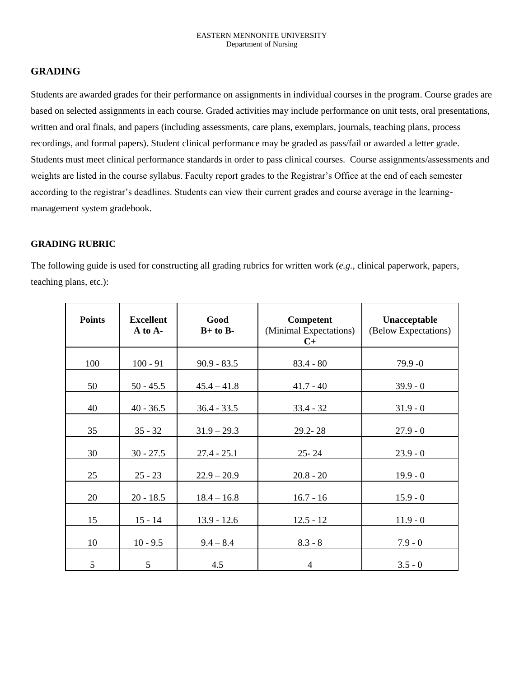# <span id="page-9-0"></span>**GRADING**

Students are awarded grades for their performance on assignments in individual courses in the program. Course grades are based on selected assignments in each course. Graded activities may include performance on unit tests, oral presentations, written and oral finals, and papers (including assessments, care plans, exemplars, journals, teaching plans, process recordings, and formal papers). Student clinical performance may be graded as pass/fail or awarded a letter grade. Students must meet clinical performance standards in order to pass clinical courses. Course assignments/assessments and weights are listed in the course syllabus. Faculty report grades to the Registrar's Office at the end of each semester according to the registrar's deadlines. Students can view their current grades and course average in the learningmanagement system gradebook.

## <span id="page-9-1"></span>**GRADING RUBRIC**

The following guide is used for constructing all grading rubrics for written work (*e.g.*, clinical paperwork, papers, teaching plans, etc.):

| <b>Points</b> | <b>Excellent</b><br>A to A- | Good<br>$B+$ to $B-$ | Competent<br>(Minimal Expectations)<br>$C+$ | Unacceptable<br>(Below Expectations) |  |
|---------------|-----------------------------|----------------------|---------------------------------------------|--------------------------------------|--|
| 100           | $100 - 91$                  | $90.9 - 83.5$        | $83.4 - 80$                                 | $79.9 - 0$                           |  |
| 50            | $50 - 45.5$                 | $45.4 - 41.8$        | $41.7 - 40$                                 | $39.9 - 0$                           |  |
| 40            | $40 - 36.5$                 | $36.4 - 33.5$        | $33.4 - 32$                                 | $31.9 - 0$                           |  |
| 35            | $35 - 32$                   | $31.9 - 29.3$        | $29.2 - 28$                                 | $27.9 - 0$                           |  |
| 30            | $30 - 27.5$                 | $27.4 - 25.1$        | $25 - 24$                                   | $23.9 - 0$                           |  |
| 25            | $25 - 23$                   | $22.9 - 20.9$        | $20.8 - 20$                                 | $19.9 - 0$                           |  |
| 20            | $20 - 18.5$                 | $18.4 - 16.8$        | $16.7 - 16$                                 | $15.9 - 0$                           |  |
| 15            | $15 - 14$                   | $13.9 - 12.6$        | $12.5 - 12$                                 | $11.9 - 0$                           |  |
| 10            | $10 - 9.5$                  | $9.4 - 8.4$          | $8.3 - 8$                                   | $7.9 - 0$                            |  |
| 5             | 5                           | 4.5                  | $\overline{4}$                              | $3.5 - 0$                            |  |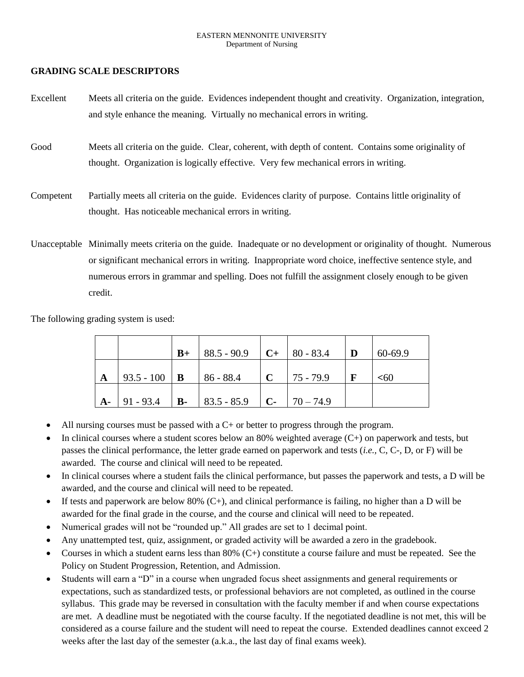## <span id="page-10-0"></span>**GRADING SCALE DESCRIPTORS**

| Excellent | Meets all criteria on the guide. Evidences independent thought and creativity. Organization, integration,                                                                                     |  |  |  |  |  |
|-----------|-----------------------------------------------------------------------------------------------------------------------------------------------------------------------------------------------|--|--|--|--|--|
|           | and style enhance the meaning. Virtually no mechanical errors in writing.                                                                                                                     |  |  |  |  |  |
| Good      | Meets all criteria on the guide. Clear, coherent, with depth of content. Contains some originality of<br>thought. Organization is logically effective. Very few mechanical errors in writing. |  |  |  |  |  |
| Competent | Partially meets all criteria on the guide. Evidences clarity of purpose. Contains little originality of<br>thought. Has noticeable mechanical errors in writing.                              |  |  |  |  |  |

Unacceptable Minimally meets criteria on the guide. Inadequate or no development or originality of thought. Numerous or significant mechanical errors in writing. Inappropriate word choice, ineffective sentence style, and numerous errors in grammar and spelling. Does not fulfill the assignment closely enough to be given credit.

The following grading system is used:

|              |                                     | $B+$         | $88.5 - 90.9$ $\mathbf{C} + 80 - 83.4$   |                                                                      | $\blacksquare$ | 60-69.9 |
|--------------|-------------------------------------|--------------|------------------------------------------|----------------------------------------------------------------------|----------------|---------|
| $\mathbf{A}$ | $93.5 - 100$   <b>B</b>   86 - 88.4 |              |                                          | $\begin{array}{ c c c } \hline C & 75 & -79.9 \\ \hline \end{array}$ | $\mathbf F$    | <60     |
| $A-$         | $91 - 93.4$                         | $\mathbf{B}$ | $\vert$ 83.5 - 85.9 <b>C</b> - 70 - 74.9 |                                                                      |                |         |

- All nursing courses must be passed with a C+ or better to progress through the program.
- In clinical courses where a student scores below an 80% weighted average  $(C+)$  on paperwork and tests, but passes the clinical performance, the letter grade earned on paperwork and tests (*i.e.,* C, C-, D, or F) will be awarded. The course and clinical will need to be repeated.
- In clinical courses where a student fails the clinical performance, but passes the paperwork and tests, a D will be awarded, and the course and clinical will need to be repeated.
- If tests and paperwork are below  $80\%$  (C+), and clinical performance is failing, no higher than a D will be awarded for the final grade in the course, and the course and clinical will need to be repeated.
- Numerical grades will not be "rounded up." All grades are set to 1 decimal point.
- Any unattempted test, quiz, assignment, or graded activity will be awarded a zero in the gradebook.
- Courses in which a student earns less than  $80\%$  (C+) constitute a course failure and must be repeated. See the Policy on Student Progression, Retention, and Admission.
- Students will earn a "D" in a course when ungraded focus sheet assignments and general requirements or expectations, such as standardized tests, or professional behaviors are not completed, as outlined in the course syllabus. This grade may be reversed in consultation with the faculty member if and when course expectations are met. A deadline must be negotiated with the course faculty. If the negotiated deadline is not met, this will be considered as a course failure and the student will need to repeat the course. Extended deadlines cannot exceed 2 weeks after the last day of the semester (a.k.a., the last day of final exams week).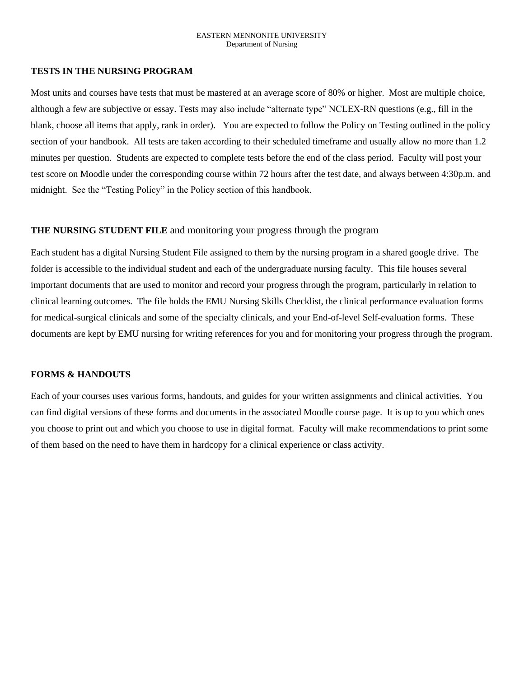## **TESTS IN THE NURSING PROGRAM**

Most units and courses have tests that must be mastered at an average score of 80% or higher. Most are multiple choice, although a few are subjective or essay. Tests may also include "alternate type" NCLEX-RN questions (e.g., fill in the blank, choose all items that apply, rank in order). You are expected to follow the Policy on Testing outlined in the policy section of your handbook. All tests are taken according to their scheduled timeframe and usually allow no more than 1.2 minutes per question. Students are expected to complete tests before the end of the class period. Faculty will post your test score on Moodle under the corresponding course within 72 hours after the test date, and always between 4:30p.m. and midnight. See the "Testing Policy" in the Policy section of this handbook.

## <span id="page-11-0"></span>**THE NURSING STUDENT FILE** and monitoring your progress through the program

Each student has a digital Nursing Student File assigned to them by the nursing program in a shared google drive. The folder is accessible to the individual student and each of the undergraduate nursing faculty. This file houses several important documents that are used to monitor and record your progress through the program, particularly in relation to clinical learning outcomes. The file holds the EMU Nursing Skills Checklist, the clinical performance evaluation forms for medical-surgical clinicals and some of the specialty clinicals, and your End-of-level Self-evaluation forms. These documents are kept by EMU nursing for writing references for you and for monitoring your progress through the program.

#### <span id="page-11-1"></span>**FORMS & HANDOUTS**

Each of your courses uses various forms, handouts, and guides for your written assignments and clinical activities. You can find digital versions of these forms and documents in the associated Moodle course page. It is up to you which ones you choose to print out and which you choose to use in digital format. Faculty will make recommendations to print some of them based on the need to have them in hardcopy for a clinical experience or class activity.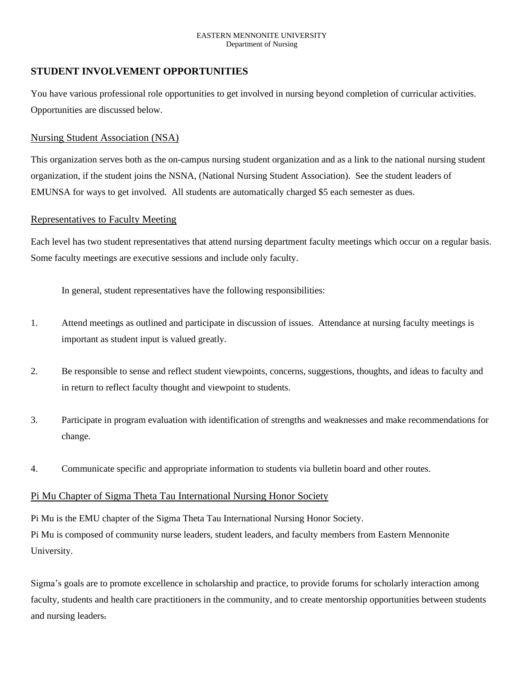# <span id="page-12-0"></span>**STUDENT INVOLVEMENT OPPORTUNITIES**

You have various professional role opportunities to get involved in nursing beyond completion of curricular activities. Opportunities are discussed below.

# Nursing Student Association (NSA)

This organization serves both as the on-campus nursing student organization and as a link to the national nursing student organization, if the student joins the NSNA, (National Nursing Student Association). See the student leaders of EMUNSA for ways to get involved. All students are automatically charged \$5 each semester as dues.

## Representatives to Faculty Meeting

Each level has two student representatives that attend nursing department faculty meetings which occur on a regular basis. Some faculty meetings are executive sessions and include only faculty.

In general, student representatives have the following responsibilities:

- 1. Attend meetings as outlined and participate in discussion of issues. Attendance at nursing faculty meetings is important as student input is valued greatly.
- 2. Be responsible to sense and reflect student viewpoints, concerns, suggestions, thoughts, and ideas to faculty and in return to reflect faculty thought and viewpoint to students.
- 3. Participate in program evaluation with identification of strengths and weaknesses and make recommendations for change.
- 4. Communicate specific and appropriate information to students via bulletin board and other routes.

# Pi Mu Chapter of Sigma Theta Tau International Nursing Honor Society

Pi Mu is the EMU chapter of the Sigma Theta Tau International Nursing Honor Society. Pi Mu is composed of community nurse leaders, student leaders, and faculty members from Eastern Mennonite University.

Sigma's goals are to promote excellence in scholarship and practice, to provide forums for scholarly interaction among faculty, students and health care practitioners in the community, and to create mentorship opportunities between students and nursing leaders.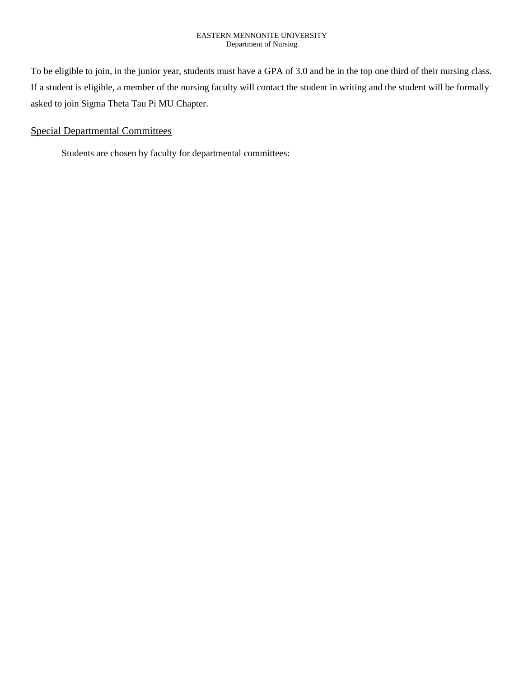To be eligible to join, in the junior year, students must have a GPA of 3.0 and be in the top one third of their nursing class. If a student is eligible, a member of the nursing faculty will contact the student in writing and the student will be formally asked to join Sigma Theta Tau Pi MU Chapter.

# Special Departmental Committees

Students are chosen by faculty for departmental committees: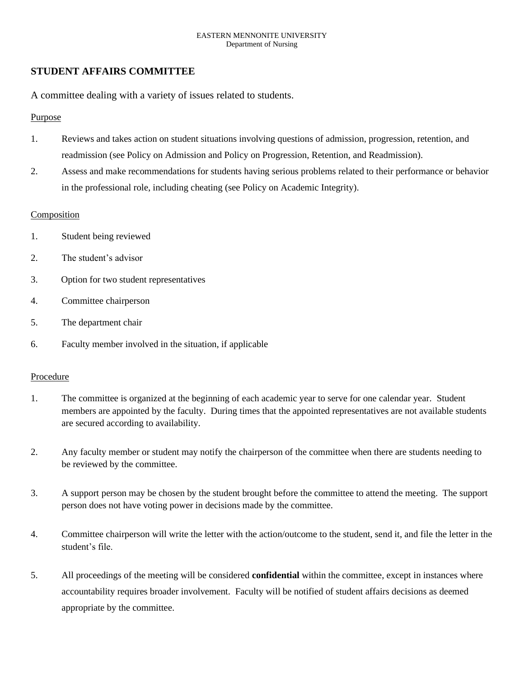# <span id="page-14-0"></span>**STUDENT AFFAIRS COMMITTEE**

A committee dealing with a variety of issues related to students.

# Purpose

- 1. Reviews and takes action on student situations involving questions of admission, progression, retention, and readmission (see Policy on Admission and Policy on Progression, Retention, and Readmission).
- 2. Assess and make recommendations for students having serious problems related to their performance or behavior in the professional role, including cheating (see Policy on Academic Integrity).

## **Composition**

- 1. Student being reviewed
- 2. The student's advisor
- 3. Option for two student representatives
- 4. Committee chairperson
- 5. The department chair
- 6. Faculty member involved in the situation, if applicable

#### Procedure

- 1. The committee is organized at the beginning of each academic year to serve for one calendar year. Student members are appointed by the faculty. During times that the appointed representatives are not available students are secured according to availability.
- 2. Any faculty member or student may notify the chairperson of the committee when there are students needing to be reviewed by the committee.
- 3. A support person may be chosen by the student brought before the committee to attend the meeting. The support person does not have voting power in decisions made by the committee.
- 4. Committee chairperson will write the letter with the action/outcome to the student, send it, and file the letter in the student's file.
- 5. All proceedings of the meeting will be considered **confidential** within the committee, except in instances where accountability requires broader involvement. Faculty will be notified of student affairs decisions as deemed appropriate by the committee.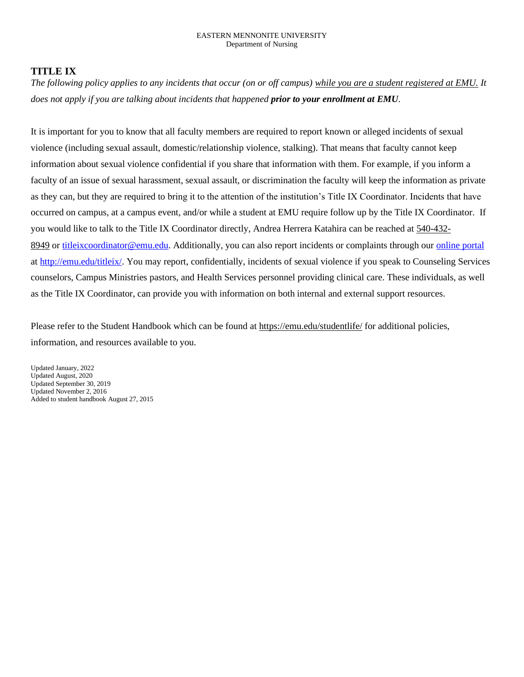# <span id="page-15-0"></span>**TITLE IX**

*The following policy applies to any incidents that occur (on or off campus) while you are a student registered at EMU. It does not apply if you are talking about incidents that happened prior to your enrollment at EMU.*

It is important for you to know that all faculty members are required to report known or alleged incidents of sexual violence (including sexual assault, domestic/relationship violence, stalking). That means that faculty cannot keep information about sexual violence confidential if you share that information with them. For example, if you inform a faculty of an issue of sexual harassment, sexual assault, or discrimination the faculty will keep the information as private as they can, but they are required to bring it to the attention of the institution's Title IX Coordinator. Incidents that have occurred on campus, at a campus event, and/or while a student at EMU require follow up by the Title IX Coordinator. If you would like to talk to the Title IX Coordinator directly, Andrea Herrera Katahira can be reached at [540-432-](about:blank) [8949](about:blank) or [titleixcoordinator@emu.edu.](mailto:titleixcoordinator@emu.edu) Additionally, you can also report incidents or complaints through our [online portal](http://emu.edu/safecampus/) at [http://emu.edu/titleix/.](http://emu.edu/titleix/) You may report, confidentially, incidents of sexual violence if you speak to Counseling Services counselors, Campus Ministries pastors, and Health Services personnel providing clinical care. These individuals, as well as the Title IX Coordinator, can provide you with information on both internal and external support resources.

Please refer to the Student Handbook which can be found at <https://emu.edu/studentlife/> for additional policies, information, and resources available to you.

Updated January, 2022 Updated August, 2020 Updated September 30, 2019 Updated November 2, 2016 Added to student handbook August 27, 2015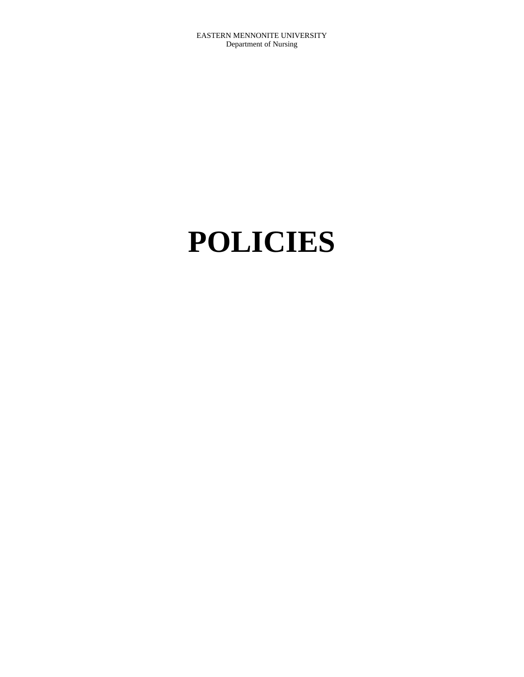# **POLICIES**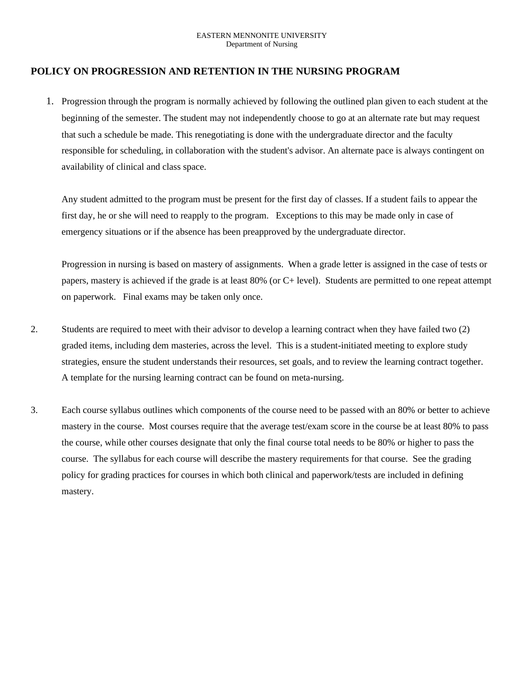# <span id="page-17-0"></span>**POLICY ON PROGRESSION AND RETENTION IN THE NURSING PROGRAM**

1. Progression through the program is normally achieved by following the outlined plan given to each student at the beginning of the semester. The student may not independently choose to go at an alternate rate but may request that such a schedule be made. This renegotiating is done with the undergraduate director and the faculty responsible for scheduling, in collaboration with the student's advisor. An alternate pace is always contingent on availability of clinical and class space.

Any student admitted to the program must be present for the first day of classes. If a student fails to appear the first day, he or she will need to reapply to the program. Exceptions to this may be made only in case of emergency situations or if the absence has been preapproved by the undergraduate director.

Progression in nursing is based on mastery of assignments. When a grade letter is assigned in the case of tests or papers, mastery is achieved if the grade is at least 80% (or C+ level). Students are permitted to one repeat attempt on paperwork. Final exams may be taken only once.

- 2. Students are required to meet with their advisor to develop a learning contract when they have failed two (2) graded items, including dem masteries, across the level. This is a student-initiated meeting to explore study strategies, ensure the student understands their resources, set goals, and to review the learning contract together. A template for the nursing learning contract can be found on meta-nursing.
- 3. Each course syllabus outlines which components of the course need to be passed with an 80% or better to achieve mastery in the course. Most courses require that the average test/exam score in the course be at least 80% to pass the course, while other courses designate that only the final course total needs to be 80% or higher to pass the course. The syllabus for each course will describe the mastery requirements for that course. See the grading policy for grading practices for courses in which both clinical and paperwork/tests are included in defining mastery.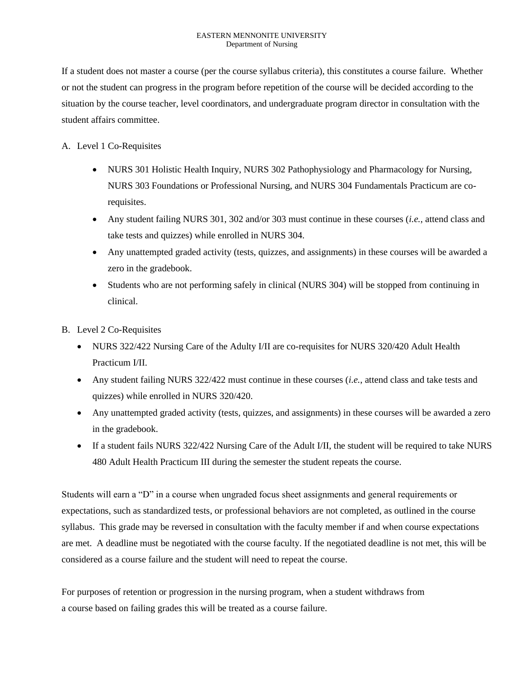If a student does not master a course (per the course syllabus criteria), this constitutes a course failure. Whether or not the student can progress in the program before repetition of the course will be decided according to the situation by the course teacher, level coordinators, and undergraduate program director in consultation with the student affairs committee.

# A. Level 1 Co-Requisites

- NURS 301 Holistic Health Inquiry, NURS 302 Pathophysiology and Pharmacology for Nursing, NURS 303 Foundations or Professional Nursing, and NURS 304 Fundamentals Practicum are corequisites.
- Any student failing NURS 301, 302 and/or 303 must continue in these courses (*i.e.*, attend class and take tests and quizzes) while enrolled in NURS 304.
- Any unattempted graded activity (tests, quizzes, and assignments) in these courses will be awarded a zero in the gradebook.
- Students who are not performing safely in clinical (NURS 304) will be stopped from continuing in clinical.
- B. Level 2 Co-Requisites
	- NURS 322/422 Nursing Care of the Adulty I/II are co-requisites for NURS 320/420 Adult Health Practicum I/II.
	- Any student failing NURS 322/422 must continue in these courses *(i.e.,* attend class and take tests and quizzes) while enrolled in NURS 320/420.
	- Any unattempted graded activity (tests, quizzes, and assignments) in these courses will be awarded a zero in the gradebook.
	- If a student fails NURS 322/422 Nursing Care of the Adult I/II, the student will be required to take NURS 480 Adult Health Practicum III during the semester the student repeats the course.

Students will earn a "D" in a course when ungraded focus sheet assignments and general requirements or expectations, such as standardized tests, or professional behaviors are not completed, as outlined in the course syllabus. This grade may be reversed in consultation with the faculty member if and when course expectations are met. A deadline must be negotiated with the course faculty. If the negotiated deadline is not met, this will be considered as a course failure and the student will need to repeat the course.

For purposes of retention or progression in the nursing program, when a student withdraws from a course based on failing grades this will be treated as a course failure.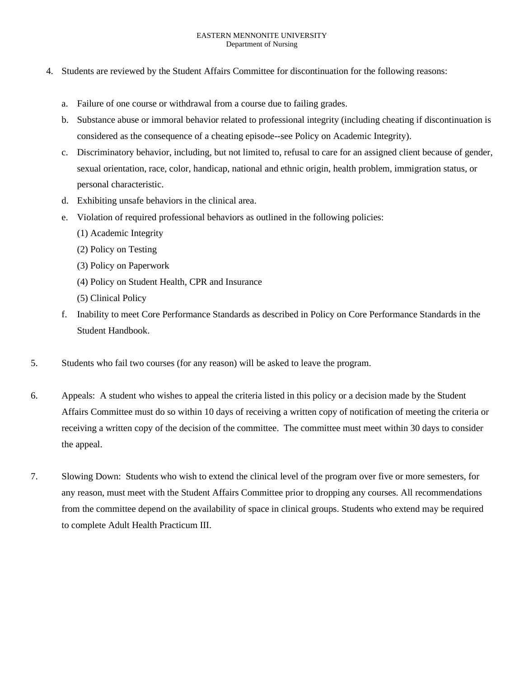- 4. Students are reviewed by the Student Affairs Committee for discontinuation for the following reasons:
	- a. Failure of one course or withdrawal from a course due to failing grades.
	- b. Substance abuse or immoral behavior related to professional integrity (including cheating if discontinuation is considered as the consequence of a cheating episode--see Policy on Academic Integrity).
	- c. Discriminatory behavior, including, but not limited to, refusal to care for an assigned client because of gender, sexual orientation, race, color, handicap, national and ethnic origin, health problem, immigration status, or personal characteristic.
	- d. Exhibiting unsafe behaviors in the clinical area.
	- e. Violation of required professional behaviors as outlined in the following policies:
		- (1) Academic Integrity
		- (2) Policy on Testing
		- (3) Policy on Paperwork
		- (4) Policy on Student Health, CPR and Insurance
		- (5) Clinical Policy
	- f. Inability to meet Core Performance Standards as described in Policy on Core Performance Standards in the Student Handbook.
- 5. Students who fail two courses (for any reason) will be asked to leave the program.
- 6. Appeals: A student who wishes to appeal the criteria listed in this policy or a decision made by the Student Affairs Committee must do so within 10 days of receiving a written copy of notification of meeting the criteria or receiving a written copy of the decision of the committee. The committee must meet within 30 days to consider the appeal.
- 7. Slowing Down: Students who wish to extend the clinical level of the program over five or more semesters, for any reason, must meet with the Student Affairs Committee prior to dropping any courses. All recommendations from the committee depend on the availability of space in clinical groups. Students who extend may be required to complete Adult Health Practicum III.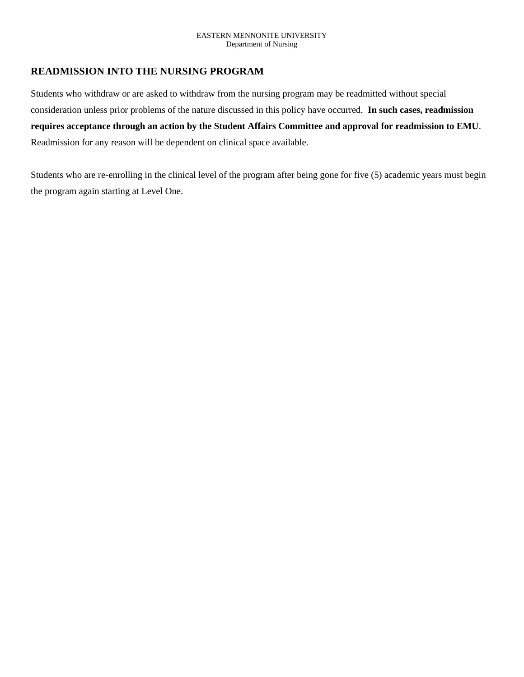# <span id="page-20-0"></span>**READMISSION INTO THE NURSING PROGRAM**

Students who withdraw or are asked to withdraw from the nursing program may be readmitted without special consideration unless prior problems of the nature discussed in this policy have occurred. **In such cases, readmission requires acceptance through an action by the Student Affairs Committee and approval for readmission to EMU**. Readmission for any reason will be dependent on clinical space available.

Students who are re-enrolling in the clinical level of the program after being gone for five (5) academic years must begin the program again starting at Level One.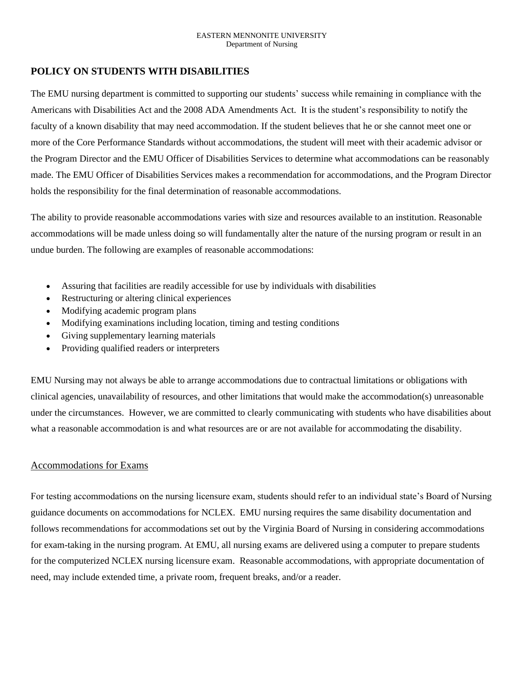# <span id="page-21-0"></span>**POLICY ON STUDENTS WITH DISABILITIES**

The EMU nursing department is committed to supporting our students' success while remaining in compliance with the Americans with Disabilities Act and the 2008 ADA Amendments Act. It is the student's responsibility to notify the faculty of a known disability that may need accommodation. If the student believes that he or she cannot meet one or more of the Core Performance Standards without accommodations, the student will meet with their academic advisor or the Program Director and the EMU Officer of Disabilities Services to determine what accommodations can be reasonably made. The EMU Officer of Disabilities Services makes a recommendation for accommodations, and the Program Director holds the responsibility for the final determination of reasonable accommodations.

The ability to provide reasonable accommodations varies with size and resources available to an institution. Reasonable accommodations will be made unless doing so will fundamentally alter the nature of the nursing program or result in an undue burden. The following are examples of reasonable accommodations:

- Assuring that facilities are readily accessible for use by individuals with disabilities
- Restructuring or altering clinical experiences
- Modifying academic program plans
- Modifying examinations including location, timing and testing conditions
- Giving supplementary learning materials
- Providing qualified readers or interpreters

EMU Nursing may not always be able to arrange accommodations due to contractual limitations or obligations with clinical agencies, unavailability of resources, and other limitations that would make the accommodation(s) unreasonable under the circumstances. However, we are committed to clearly communicating with students who have disabilities about what a reasonable accommodation is and what resources are or are not available for accommodating the disability.

# Accommodations for Exams

For testing accommodations on the nursing licensure exam, students should refer to an individual state's Board of Nursing guidance documents on accommodations for NCLEX. EMU nursing requires the same disability documentation and follows recommendations for accommodations set out by the Virginia Board of Nursing in considering accommodations for exam-taking in the nursing program. At EMU, all nursing exams are delivered using a computer to prepare students for the computerized NCLEX nursing licensure exam. Reasonable accommodations, with appropriate documentation of need, may include extended time, a private room, frequent breaks, and/or a reader.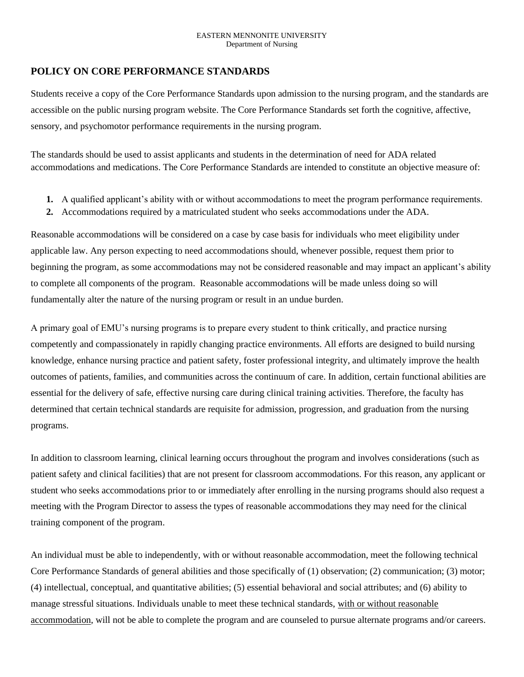# <span id="page-22-0"></span>**POLICY ON CORE PERFORMANCE STANDARDS**

Students receive a copy of the Core Performance Standards upon admission to the nursing program, and the standards are accessible on the public nursing program website. The Core Performance Standards set forth the cognitive, affective, sensory, and psychomotor performance requirements in the nursing program.

The standards should be used to assist applicants and students in the determination of need for ADA related accommodations and medications. The Core Performance Standards are intended to constitute an objective measure of:

- **1.** A qualified applicant's ability with or without accommodations to meet the program performance requirements.
- **2.** Accommodations required by a matriculated student who seeks accommodations under the ADA.

Reasonable accommodations will be considered on a case by case basis for individuals who meet eligibility under applicable law. Any person expecting to need accommodations should, whenever possible, request them prior to beginning the program, as some accommodations may not be considered reasonable and may impact an applicant's ability to complete all components of the program. Reasonable accommodations will be made unless doing so will fundamentally alter the nature of the nursing program or result in an undue burden.

A primary goal of EMU's nursing programs is to prepare every student to think critically, and practice nursing competently and compassionately in rapidly changing practice environments. All efforts are designed to build nursing knowledge, enhance nursing practice and patient safety, foster professional integrity, and ultimately improve the health outcomes of patients, families, and communities across the continuum of care. In addition, certain functional abilities are essential for the delivery of safe, effective nursing care during clinical training activities. Therefore, the faculty has determined that certain technical standards are requisite for admission, progression, and graduation from the nursing programs.

In addition to classroom learning, clinical learning occurs throughout the program and involves considerations (such as patient safety and clinical facilities) that are not present for classroom accommodations. For this reason, any applicant or student who seeks accommodations prior to or immediately after enrolling in the nursing programs should also request a meeting with the Program Director to assess the types of reasonable accommodations they may need for the clinical training component of the program.

An individual must be able to independently, with or without reasonable accommodation, meet the following technical Core Performance Standards of general abilities and those specifically of (1) observation; (2) communication; (3) motor; (4) intellectual, conceptual, and quantitative abilities; (5) essential behavioral and social attributes; and (6) ability to manage stressful situations. Individuals unable to meet these technical standards, with or without reasonable accommodation, will not be able to complete the program and are counseled to pursue alternate programs and/or careers.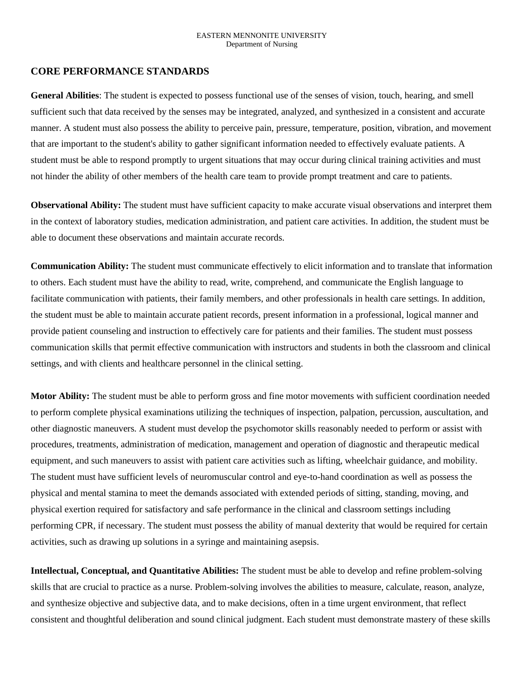## **CORE PERFORMANCE STANDARDS**

**General Abilities**: The student is expected to possess functional use of the senses of vision, touch, hearing, and smell sufficient such that data received by the senses may be integrated, analyzed, and synthesized in a consistent and accurate manner. A student must also possess the ability to perceive pain, pressure, temperature, position, vibration, and movement that are important to the student's ability to gather significant information needed to effectively evaluate patients. A student must be able to respond promptly to urgent situations that may occur during clinical training activities and must not hinder the ability of other members of the health care team to provide prompt treatment and care to patients.

**Observational Ability:** The student must have sufficient capacity to make accurate visual observations and interpret them in the context of laboratory studies, medication administration, and patient care activities. In addition, the student must be able to document these observations and maintain accurate records.

**Communication Ability:** The student must communicate effectively to elicit information and to translate that information to others. Each student must have the ability to read, write, comprehend, and communicate the English language to facilitate communication with patients, their family members, and other professionals in health care settings. In addition, the student must be able to maintain accurate patient records, present information in a professional, logical manner and provide patient counseling and instruction to effectively care for patients and their families. The student must possess communication skills that permit effective communication with instructors and students in both the classroom and clinical settings, and with clients and healthcare personnel in the clinical setting.

**Motor Ability:** The student must be able to perform gross and fine motor movements with sufficient coordination needed to perform complete physical examinations utilizing the techniques of inspection, palpation, percussion, auscultation, and other diagnostic maneuvers. A student must develop the psychomotor skills reasonably needed to perform or assist with procedures, treatments, administration of medication, management and operation of diagnostic and therapeutic medical equipment, and such maneuvers to assist with patient care activities such as lifting, wheelchair guidance, and mobility. The student must have sufficient levels of neuromuscular control and eye-to-hand coordination as well as possess the physical and mental stamina to meet the demands associated with extended periods of sitting, standing, moving, and physical exertion required for satisfactory and safe performance in the clinical and classroom settings including performing CPR, if necessary. The student must possess the ability of manual dexterity that would be required for certain activities, such as drawing up solutions in a syringe and maintaining asepsis.

**Intellectual, Conceptual, and Quantitative Abilities:** The student must be able to develop and refine problem-solving skills that are crucial to practice as a nurse. Problem-solving involves the abilities to measure, calculate, reason, analyze, and synthesize objective and subjective data, and to make decisions, often in a time urgent environment, that reflect consistent and thoughtful deliberation and sound clinical judgment. Each student must demonstrate mastery of these skills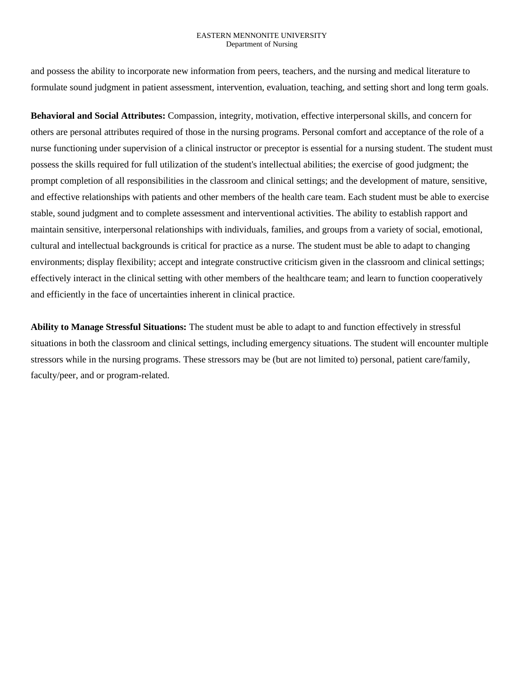and possess the ability to incorporate new information from peers, teachers, and the nursing and medical literature to formulate sound judgment in patient assessment, intervention, evaluation, teaching, and setting short and long term goals.

**Behavioral and Social Attributes:** Compassion, integrity, motivation, effective interpersonal skills, and concern for others are personal attributes required of those in the nursing programs. Personal comfort and acceptance of the role of a nurse functioning under supervision of a clinical instructor or preceptor is essential for a nursing student. The student must possess the skills required for full utilization of the student's intellectual abilities; the exercise of good judgment; the prompt completion of all responsibilities in the classroom and clinical settings; and the development of mature, sensitive, and effective relationships with patients and other members of the health care team. Each student must be able to exercise stable, sound judgment and to complete assessment and interventional activities. The ability to establish rapport and maintain sensitive, interpersonal relationships with individuals, families, and groups from a variety of social, emotional, cultural and intellectual backgrounds is critical for practice as a nurse. The student must be able to adapt to changing environments; display flexibility; accept and integrate constructive criticism given in the classroom and clinical settings; effectively interact in the clinical setting with other members of the healthcare team; and learn to function cooperatively and efficiently in the face of uncertainties inherent in clinical practice.

**Ability to Manage Stressful Situations:** The student must be able to adapt to and function effectively in stressful situations in both the classroom and clinical settings, including emergency situations. The student will encounter multiple stressors while in the nursing programs. These stressors may be (but are not limited to) personal, patient care/family, faculty/peer, and or program-related.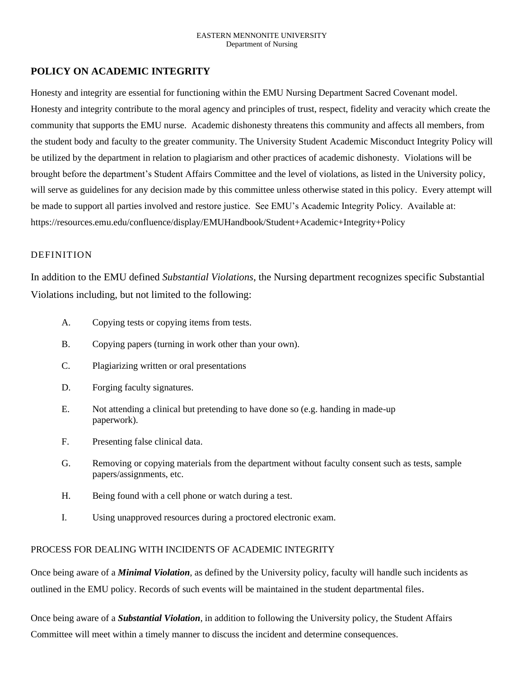# <span id="page-25-0"></span>**POLICY ON ACADEMIC INTEGRITY**

Honesty and integrity are essential for functioning within the EMU Nursing Department Sacred Covenant model. Honesty and integrity contribute to the moral agency and principles of trust, respect, fidelity and veracity which create the community that supports the EMU nurse. Academic dishonesty threatens this community and affects all members, from the student body and faculty to the greater community. The University Student Academic Misconduct Integrity Policy will be utilized by the department in relation to plagiarism and other practices of academic dishonesty. Violations will be brought before the department's Student Affairs Committee and the level of violations, as listed in the University policy, will serve as guidelines for any decision made by this committee unless otherwise stated in this policy. Every attempt will be made to support all parties involved and restore justice. See EMU's Academic Integrity Policy. Available at: https://resources.emu.edu/confluence/display/EMUHandbook/Student+Academic+Integrity+Policy

## DEFINITION

In addition to the EMU defined *Substantial Violations*, the Nursing department recognizes specific Substantial Violations including, but not limited to the following:

- A. Copying tests or copying items from tests.
- B. Copying papers (turning in work other than your own).
- C. Plagiarizing written or oral presentations
- D. Forging faculty signatures.
- E. Not attending a clinical but pretending to have done so (e.g. handing in made-up paperwork).
- F. Presenting false clinical data.
- G. Removing or copying materials from the department without faculty consent such as tests, sample papers/assignments, etc.
- H. Being found with a cell phone or watch during a test.
- I. Using unapproved resources during a proctored electronic exam.

## PROCESS FOR DEALING WITH INCIDENTS OF ACADEMIC INTEGRITY

Once being aware of a *Minimal Violation,* as defined by the University policy, faculty will handle such incidents as outlined in the EMU policy. Records of such events will be maintained in the student departmental files.

Once being aware of a *Substantial Violation*, in addition to following the University policy, the Student Affairs Committee will meet within a timely manner to discuss the incident and determine consequences.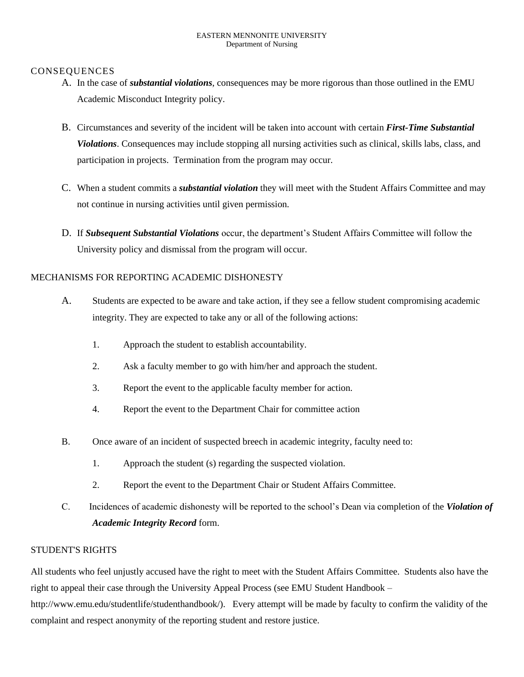# CONSEQUENCES

- A. In the case of *substantial violations*, consequences may be more rigorous than those outlined in the EMU Academic Misconduct Integrity policy.
- B. Circumstances and severity of the incident will be taken into account with certain *First-Time Substantial Violations*. Consequences may include stopping all nursing activities such as clinical, skills labs, class, and participation in projects. Termination from the program may occur.
- C. When a student commits a *substantial violation* they will meet with the Student Affairs Committee and may not continue in nursing activities until given permission.
- D. If *Subsequent Substantial Violations* occur, the department's Student Affairs Committee will follow the University policy and dismissal from the program will occur.

# MECHANISMS FOR REPORTING ACADEMIC DISHONESTY

- A. Students are expected to be aware and take action, if they see a fellow student compromising academic integrity. They are expected to take any or all of the following actions:
	- 1. Approach the student to establish accountability.
	- 2. Ask a faculty member to go with him/her and approach the student.
	- 3. Report the event to the applicable faculty member for action.
	- 4. Report the event to the Department Chair for committee action
- B. Once aware of an incident of suspected breech in academic integrity, faculty need to:
	- 1. Approach the student (s) regarding the suspected violation.
	- 2. Report the event to the Department Chair or Student Affairs Committee.
- C. Incidences of academic dishonesty will be reported to the school's Dean via completion of the *Violation of Academic Integrity Record* form.

## STUDENT'S RIGHTS

All students who feel unjustly accused have the right to meet with the Student Affairs Committee. Students also have the right to appeal their case through the University Appeal Process (see EMU Student Handbook –

http://www.emu.edu/studentlife/studenthandbook/). Every attempt will be made by faculty to confirm the validity of the complaint and respect anonymity of the reporting student and restore justice.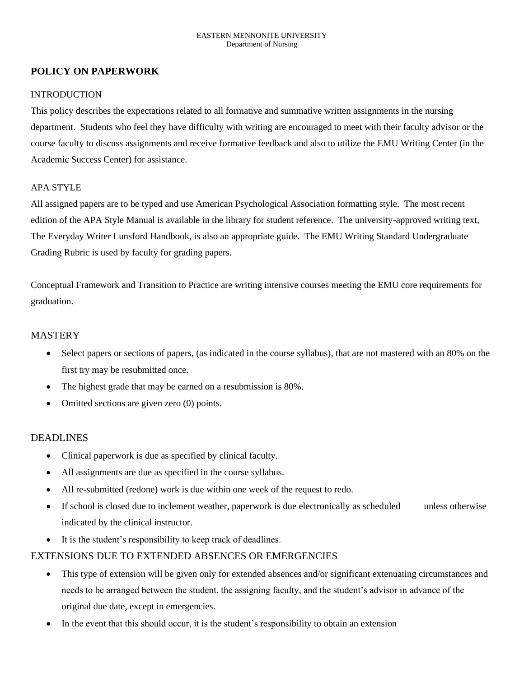# <span id="page-27-0"></span>**POLICY ON PAPERWORK**

# **INTRODUCTION**

This policy describes the expectations related to all formative and summative written assignments in the nursing department. Students who feel they have difficulty with writing are encouraged to meet with their faculty advisor or the course faculty to discuss assignments and receive formative feedback and also to utilize the EMU Writing Center (in the Academic Success Center) for assistance.

# APA STYLE

All assigned papers are to be typed and use American Psychological Association formatting style. The most recent edition of the APA Style Manual is available in the library for student reference. The university-approved writing text, The Everyday Writer Lunsford Handbook, is also an appropriate guide. The EMU Writing Standard Undergraduate Grading Rubric is used by faculty for grading papers.

Conceptual Framework and Transition to Practice are writing intensive courses meeting the EMU core requirements for graduation.

# MASTERY

- Select papers or sections of papers, (as indicated in the course syllabus), that are not mastered with an 80% on the first try may be resubmitted once.
- The highest grade that may be earned on a resubmission is 80%.
- Omitted sections are given zero (0) points.

# DEADLINES

- Clinical paperwork is due as specified by clinical faculty.
- All assignments are due as specified in the course syllabus.
- All re-submitted (redone) work is due within one week of the request to redo.
- If school is closed due to inclement weather, paperwork is due electronically as scheduled unless otherwise indicated by the clinical instructor.
- It is the student's responsibility to keep track of deadlines.

# EXTENSIONS DUE TO EXTENDED ABSENCES OR EMERGENCIES

- This type of extension will be given only for extended absences and/or significant extenuating circumstances and needs to be arranged between the student, the assigning faculty, and the student's advisor in advance of the original due date, except in emergencies.
- In the event that this should occur, it is the student's responsibility to obtain an extension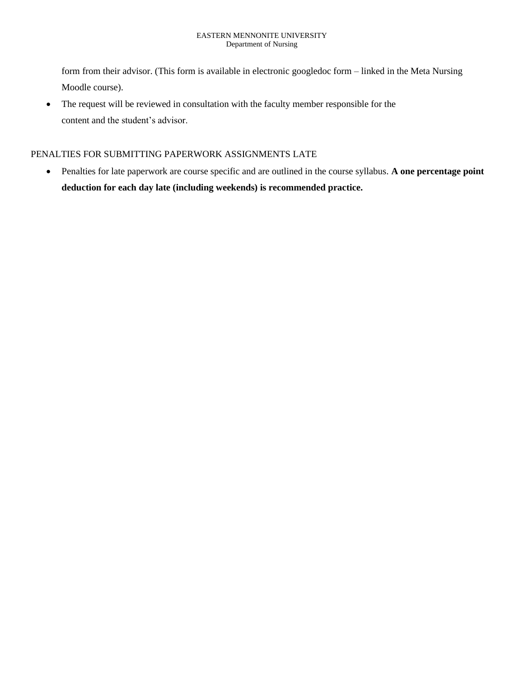form from their advisor. (This form is available in electronic googledoc form – linked in the Meta Nursing Moodle course).

• The request will be reviewed in consultation with the faculty member responsible for the content and the student's advisor.

# PENALTIES FOR SUBMITTING PAPERWORK ASSIGNMENTS LATE

<span id="page-28-0"></span>• Penalties for late paperwork are course specific and are outlined in the course syllabus. **A one percentage point deduction for each day late (including weekends) is recommended practice.**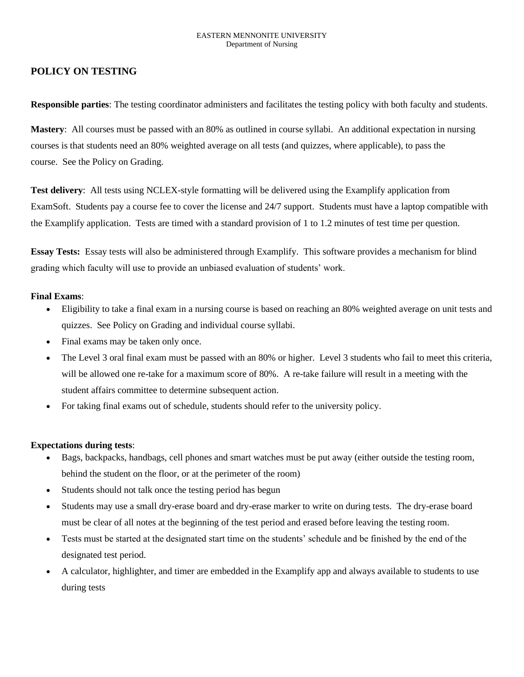# **POLICY ON TESTING**

**Responsible parties**: The testing coordinator administers and facilitates the testing policy with both faculty and students.

**Mastery**: All courses must be passed with an 80% as outlined in course syllabi. An additional expectation in nursing courses is that students need an 80% weighted average on all tests (and quizzes, where applicable), to pass the course. See the Policy on Grading.

**Test delivery**: All tests using NCLEX-style formatting will be delivered using the Examplify application from ExamSoft. Students pay a course fee to cover the license and 24/7 support. Students must have a laptop compatible with the Examplify application. Tests are timed with a standard provision of 1 to 1.2 minutes of test time per question.

**Essay Tests:** Essay tests will also be administered through Examplify. This software provides a mechanism for blind grading which faculty will use to provide an unbiased evaluation of students' work.

## **Final Exams**:

- Eligibility to take a final exam in a nursing course is based on reaching an 80% weighted average on unit tests and quizzes. See Policy on Grading and individual course syllabi.
- Final exams may be taken only once.
- The Level 3 oral final exam must be passed with an 80% or higher. Level 3 students who fail to meet this criteria, will be allowed one re-take for a maximum score of 80%. A re-take failure will result in a meeting with the student affairs committee to determine subsequent action.
- For taking final exams out of schedule, students should refer to the university policy.

## **Expectations during tests**:

- Bags, backpacks, handbags, cell phones and smart watches must be put away (either outside the testing room, behind the student on the floor, or at the perimeter of the room)
- Students should not talk once the testing period has begun
- Students may use a small dry-erase board and dry-erase marker to write on during tests. The dry-erase board must be clear of all notes at the beginning of the test period and erased before leaving the testing room.
- Tests must be started at the designated start time on the students' schedule and be finished by the end of the designated test period.
- A calculator, highlighter, and timer are embedded in the Examplify app and always available to students to use during tests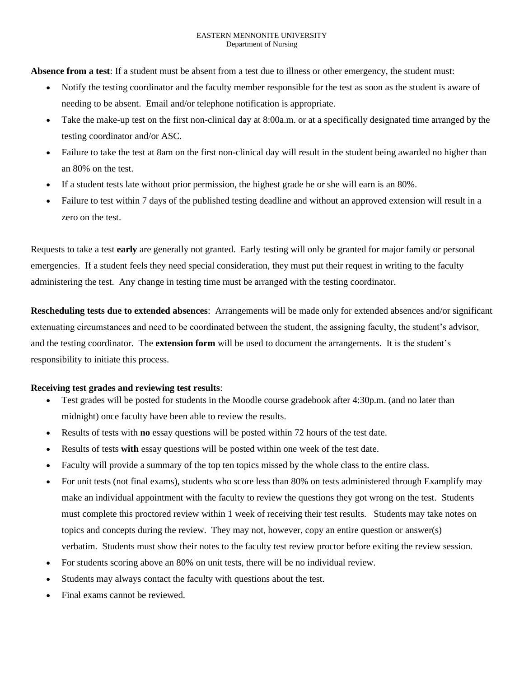**Absence from a test**: If a student must be absent from a test due to illness or other emergency, the student must:

- Notify the testing coordinator and the faculty member responsible for the test as soon as the student is aware of needing to be absent. Email and/or telephone notification is appropriate.
- Take the make-up test on the first non-clinical day at 8:00a.m. or at a specifically designated time arranged by the testing coordinator and/or ASC.
- Failure to take the test at 8am on the first non-clinical day will result in the student being awarded no higher than an 80% on the test.
- If a student tests late without prior permission, the highest grade he or she will earn is an 80%.
- Failure to test within 7 days of the published testing deadline and without an approved extension will result in a zero on the test.

Requests to take a test **early** are generally not granted. Early testing will only be granted for major family or personal emergencies. If a student feels they need special consideration, they must put their request in writing to the faculty administering the test. Any change in testing time must be arranged with the testing coordinator.

**Rescheduling tests due to extended absences**: Arrangements will be made only for extended absences and/or significant extenuating circumstances and need to be coordinated between the student, the assigning faculty, the student's advisor, and the testing coordinator. The **extension form** will be used to document the arrangements. It is the student's responsibility to initiate this process.

## **Receiving test grades and reviewing test results**:

- Test grades will be posted for students in the Moodle course gradebook after 4:30p.m. (and no later than midnight) once faculty have been able to review the results.
- Results of tests with **no** essay questions will be posted within 72 hours of the test date.
- Results of tests **with** essay questions will be posted within one week of the test date.
- Faculty will provide a summary of the top ten topics missed by the whole class to the entire class.
- For unit tests (not final exams), students who score less than 80% on tests administered through Examplify may make an individual appointment with the faculty to review the questions they got wrong on the test. Students must complete this proctored review within 1 week of receiving their test results. Students may take notes on topics and concepts during the review. They may not, however, copy an entire question or answer(s) verbatim. Students must show their notes to the faculty test review proctor before exiting the review session.
- For students scoring above an 80% on unit tests, there will be no individual review.
- Students may always contact the faculty with questions about the test.
- Final exams cannot be reviewed.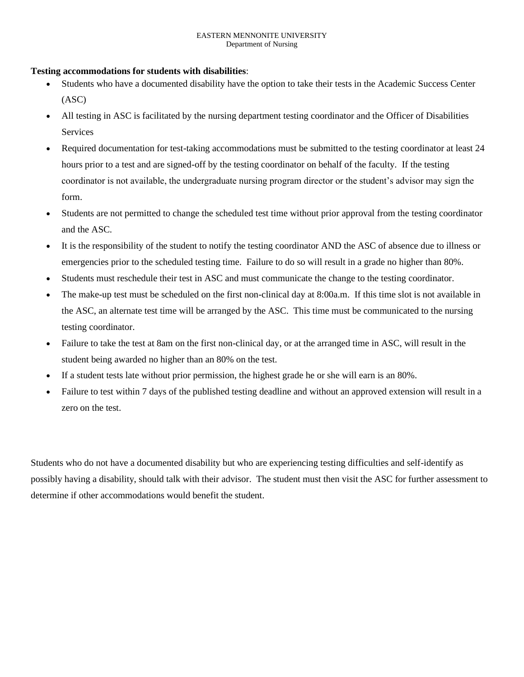## **Testing accommodations for students with disabilities**:

- Students who have a documented disability have the option to take their tests in the Academic Success Center (ASC)
- All testing in ASC is facilitated by the nursing department testing coordinator and the Officer of Disabilities Services
- Required documentation for test-taking accommodations must be submitted to the testing coordinator at least 24 hours prior to a test and are signed-off by the testing coordinator on behalf of the faculty. If the testing coordinator is not available, the undergraduate nursing program director or the student's advisor may sign the form.
- Students are not permitted to change the scheduled test time without prior approval from the testing coordinator and the ASC.
- It is the responsibility of the student to notify the testing coordinator AND the ASC of absence due to illness or emergencies prior to the scheduled testing time. Failure to do so will result in a grade no higher than 80%.
- Students must reschedule their test in ASC and must communicate the change to the testing coordinator.
- The make-up test must be scheduled on the first non-clinical day at 8:00a.m. If this time slot is not available in the ASC, an alternate test time will be arranged by the ASC. This time must be communicated to the nursing testing coordinator.
- Failure to take the test at 8am on the first non-clinical day, or at the arranged time in ASC, will result in the student being awarded no higher than an 80% on the test.
- If a student tests late without prior permission, the highest grade he or she will earn is an 80%.
- Failure to test within 7 days of the published testing deadline and without an approved extension will result in a zero on the test.

<span id="page-31-0"></span>Students who do not have a documented disability but who are experiencing testing difficulties and self-identify as possibly having a disability, should talk with their advisor. The student must then visit the ASC for further assessment to determine if other accommodations would benefit the student.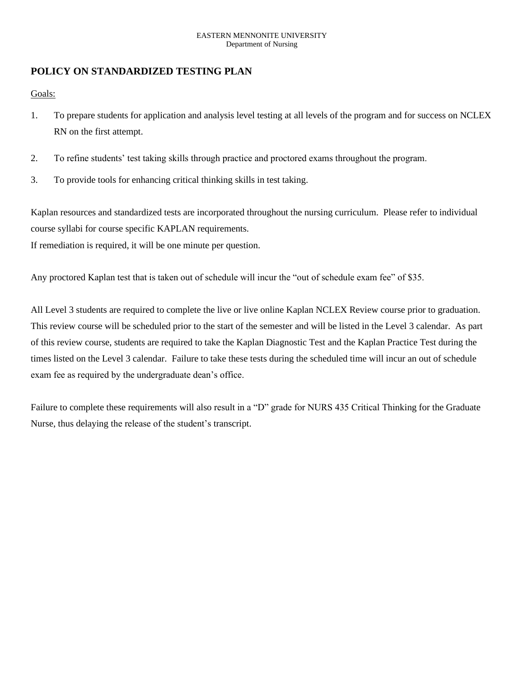# **POLICY ON STANDARDIZED TESTING PLAN**

Goals:

- 1. To prepare students for application and analysis level testing at all levels of the program and for success on NCLEX RN on the first attempt.
- 2. To refine students' test taking skills through practice and proctored exams throughout the program.
- 3. To provide tools for enhancing critical thinking skills in test taking.

Kaplan resources and standardized tests are incorporated throughout the nursing curriculum. Please refer to individual course syllabi for course specific KAPLAN requirements.

If remediation is required, it will be one minute per question.

Any proctored Kaplan test that is taken out of schedule will incur the "out of schedule exam fee" of \$35.

All Level 3 students are required to complete the live or live online Kaplan NCLEX Review course prior to graduation. This review course will be scheduled prior to the start of the semester and will be listed in the Level 3 calendar. As part of this review course, students are required to take the Kaplan Diagnostic Test and the Kaplan Practice Test during the times listed on the Level 3 calendar. Failure to take these tests during the scheduled time will incur an out of schedule exam fee as required by the undergraduate dean's office.

Failure to complete these requirements will also result in a "D" grade for NURS 435 Critical Thinking for the Graduate Nurse, thus delaying the release of the student's transcript.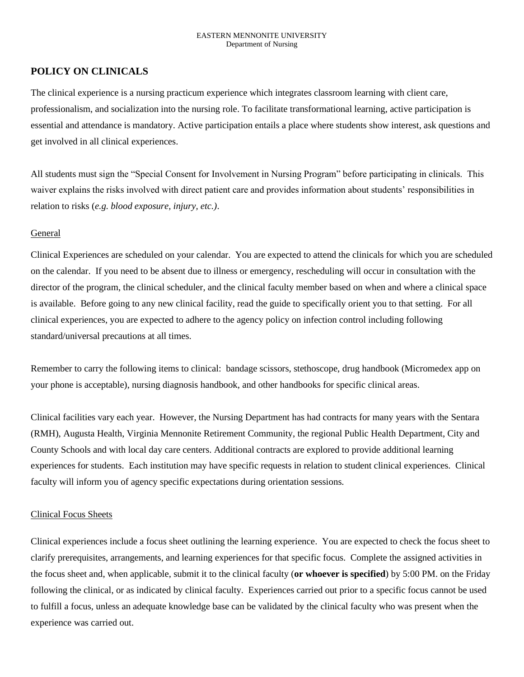# <span id="page-33-0"></span>**POLICY ON CLINICALS**

The clinical experience is a nursing practicum experience which integrates classroom learning with client care, professionalism, and socialization into the nursing role. To facilitate transformational learning, active participation is essential and attendance is mandatory. Active participation entails a place where students show interest, ask questions and get involved in all clinical experiences.

All students must sign the "Special Consent for Involvement in Nursing Program" before participating in clinicals. This waiver explains the risks involved with direct patient care and provides information about students' responsibilities in relation to risks (*e.g. blood exposure, injury, etc.)*.

#### General

Clinical Experiences are scheduled on your calendar. You are expected to attend the clinicals for which you are scheduled on the calendar. If you need to be absent due to illness or emergency, rescheduling will occur in consultation with the director of the program, the clinical scheduler, and the clinical faculty member based on when and where a clinical space is available. Before going to any new clinical facility, read the guide to specifically orient you to that setting. For all clinical experiences, you are expected to adhere to the agency policy on infection control including following standard/universal precautions at all times.

Remember to carry the following items to clinical: bandage scissors, stethoscope, drug handbook (Micromedex app on your phone is acceptable), nursing diagnosis handbook, and other handbooks for specific clinical areas.

Clinical facilities vary each year. However, the Nursing Department has had contracts for many years with the Sentara (RMH), Augusta Health, Virginia Mennonite Retirement Community, the regional Public Health Department, City and County Schools and with local day care centers. Additional contracts are explored to provide additional learning experiences for students. Each institution may have specific requests in relation to student clinical experiences. Clinical faculty will inform you of agency specific expectations during orientation sessions.

#### Clinical Focus Sheets

Clinical experiences include a focus sheet outlining the learning experience. You are expected to check the focus sheet to clarify prerequisites, arrangements, and learning experiences for that specific focus. Complete the assigned activities in the focus sheet and, when applicable, submit it to the clinical faculty (**or whoever is specified**) by 5:00 PM. on the Friday following the clinical, or as indicated by clinical faculty. Experiences carried out prior to a specific focus cannot be used to fulfill a focus, unless an adequate knowledge base can be validated by the clinical faculty who was present when the experience was carried out.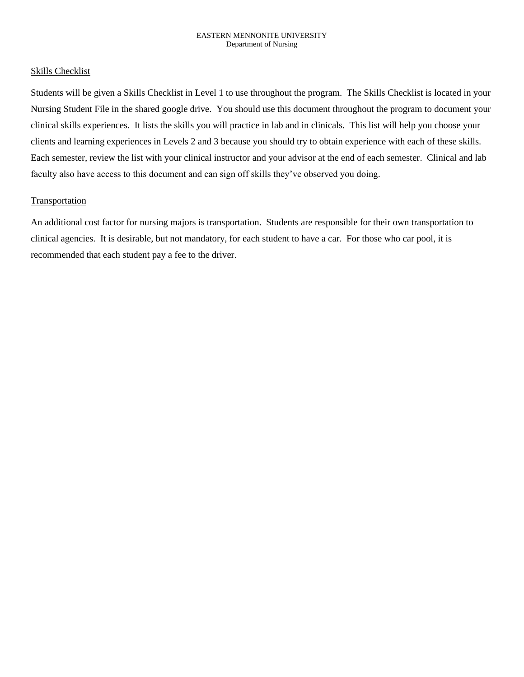## Skills Checklist

Students will be given a Skills Checklist in Level 1 to use throughout the program. The Skills Checklist is located in your Nursing Student File in the shared google drive. You should use this document throughout the program to document your clinical skills experiences. It lists the skills you will practice in lab and in clinicals. This list will help you choose your clients and learning experiences in Levels 2 and 3 because you should try to obtain experience with each of these skills. Each semester, review the list with your clinical instructor and your advisor at the end of each semester. Clinical and lab faculty also have access to this document and can sign off skills they've observed you doing.

#### **Transportation**

An additional cost factor for nursing majors is transportation. Students are responsible for their own transportation to clinical agencies. It is desirable, but not mandatory, for each student to have a car. For those who car pool, it is recommended that each student pay a fee to the driver.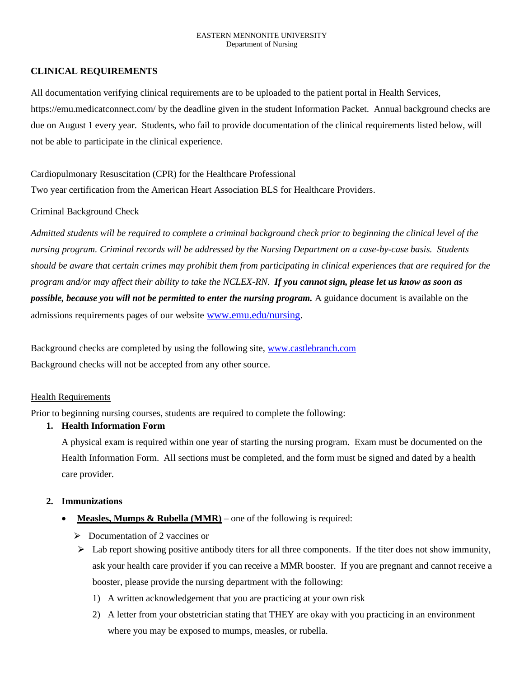# **CLINICAL REQUIREMENTS**

All documentation verifying clinical requirements are to be uploaded to the patient portal in Health Services, <https://emu.medicatconnect.com/> by the deadline given in the student Information Packet. Annual background checks are due on August 1 every year. Students, who fail to provide documentation of the clinical requirements listed below, will not be able to participate in the clinical experience.

## Cardiopulmonary Resuscitation (CPR) for the Healthcare Professional

Two year certification from the American Heart Association BLS for Healthcare Providers.

## Criminal Background Check

*Admitted students will be required to complete a criminal background check prior to beginning the clinical level of the nursing program. Criminal records will be addressed by the Nursing Department on a case-by-case basis. Students should be aware that certain crimes may prohibit them from participating in clinical experiences that are required for the program and/or may affect their ability to take the NCLEX-RN*. *If you cannot sign, please let us know as soon as possible, because you will not be permitted to enter the nursing program.* **A guidance document is available on the** admissions requirements pages of our website [www.emu.edu/nursing.](http://www.emu.edu/nursing)

Background checks are completed by using the following site, [www.castlebranch.com](http://www.castlebranch.com/) Background checks will not be accepted from any other source.

#### Health Requirements

Prior to beginning nursing courses, students are required to complete the following:

## **1. Health Information Form**

A physical exam is required within one year of starting the nursing program. Exam must be documented on the Health Information Form. All sections must be completed, and the form must be signed and dated by a health care provider.

#### **2. Immunizations**

- **Measles, Mumps & Rubella (MMR)** one of the following is required:
	- ⮚ Documentation of 2 vaccines or
	- $\triangleright$  Lab report showing positive antibody titers for all three components. If the titer does not show immunity, ask your health care provider if you can receive a MMR booster. If you are pregnant and cannot receive a booster, please provide the nursing department with the following:
		- 1) A written acknowledgement that you are practicing at your own risk
		- 2) A letter from your obstetrician stating that THEY are okay with you practicing in an environment where you may be exposed to mumps, measles, or rubella.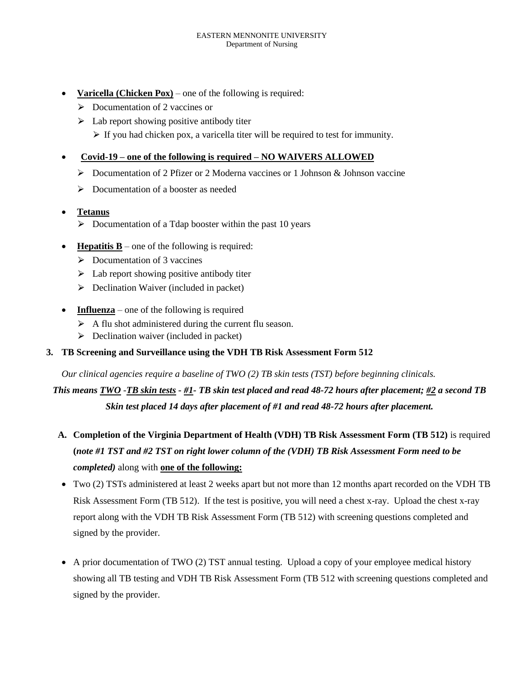- **Varicella (Chicken Pox)** one of the following is required:
	- $\triangleright$  Documentation of 2 vaccines or
	- $\triangleright$  Lab report showing positive antibody titer
		- $\triangleright$  If you had chicken pox, a varicella titer will be required to test for immunity.

# • **Covid-19 – one of the following is required – NO WAIVERS ALLOWED**

- $\triangleright$  Documentation of 2 Pfizer or 2 Moderna vaccines or 1 Johnson & Johnson vaccine
- ➢ Documentation of a booster as needed
- **Tetanus**
	- $\triangleright$  Documentation of a Tdap booster within the past 10 years
- **Hepatitis B** one of the following is required:
	- $\triangleright$  Documentation of 3 vaccines
	- $\triangleright$  Lab report showing positive antibody titer
	- $\triangleright$  Declination Waiver (included in packet)
- **Influenza** one of the following is required
	- $\triangleright$  A flu shot administered during the current flu season.
	- $\triangleright$  Declination waiver (included in packet)

# **3. TB Screening and Surveillance using the VDH TB Risk Assessment Form 512**

*Our clinical agencies require a baseline of TWO (2) TB skin tests (TST) before beginning clinicals.*

*This means TWO -TB skin tests - #1- TB skin test placed and read 48-72 hours after placement; #2 a second TB Skin test placed 14 days after placement of #1 and read 48-72 hours after placement.*

- **A. Completion of the Virginia Department of Health (VDH) TB Risk Assessment Form (TB 512)** is required **(***note #1 TST and #2 TST on right lower column of the (VDH) TB Risk Assessment Form need to be completed)* along with **one of the following:**
- Two (2) TSTs administered at least 2 weeks apart but not more than 12 months apart recorded on the VDH TB Risk Assessment Form (TB 512). If the test is positive, you will need a chest x-ray. Upload the chest x-ray report along with the VDH TB Risk Assessment Form (TB 512) with screening questions completed and signed by the provider.
- A prior documentation of TWO (2) TST annual testing. Upload a copy of your employee medical history showing all TB testing and VDH TB Risk Assessment Form (TB 512 with screening questions completed and signed by the provider.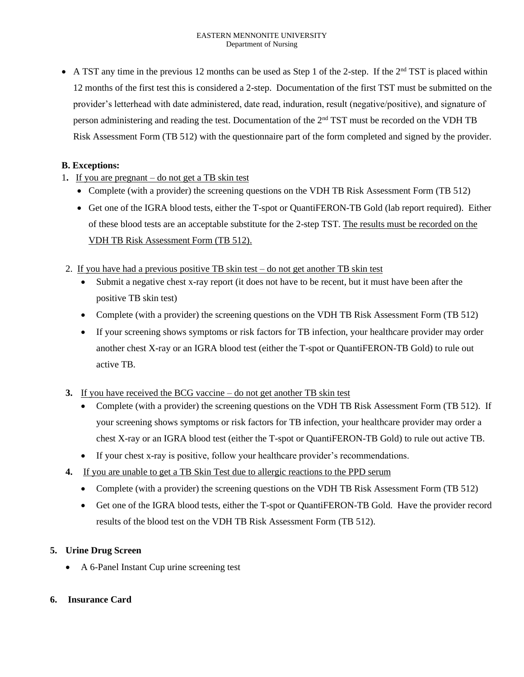• A TST any time in the previous 12 months can be used as Step 1 of the 2-step. If the  $2<sup>nd</sup> TST$  is placed within 12 months of the first test this is considered a 2-step. Documentation of the first TST must be submitted on the provider's letterhead with date administered, date read, induration, result (negative/positive), and signature of person administering and reading the test. Documentation of the 2<sup>nd</sup> TST must be recorded on the VDH TB Risk Assessment Form (TB 512) with the questionnaire part of the form completed and signed by the provider.

# **B. Exceptions:**

- 1**.** If you are pregnant do not get a TB skin test
	- Complete (with a provider) the screening questions on the VDH TB Risk Assessment Form (TB 512)
	- Get one of the IGRA blood tests, either the T-spot or QuantiFERON-TB Gold (lab report required). Either of these blood tests are an acceptable substitute for the 2-step TST. The results must be recorded on the VDH TB Risk Assessment Form (TB 512).
- 2. If you have had a previous positive TB skin test do not get another TB skin test
	- Submit a negative chest x-ray report (it does not have to be recent, but it must have been after the positive TB skin test)
	- Complete (with a provider) the screening questions on the VDH TB Risk Assessment Form (TB 512)
	- If your screening shows symptoms or risk factors for TB infection, your healthcare provider may order another chest X-ray or an IGRA blood test (either the T-spot or QuantiFERON-TB Gold) to rule out active TB.
- **3.** If you have received the BCG vaccine do not get another TB skin test
	- Complete (with a provider) the screening questions on the VDH TB Risk Assessment Form (TB 512). If your screening shows symptoms or risk factors for TB infection, your healthcare provider may order a chest X-ray or an IGRA blood test (either the T-spot or QuantiFERON-TB Gold) to rule out active TB.
	- If your chest x-ray is positive, follow your healthcare provider's recommendations.
- **4.** If you are unable to get a TB Skin Test due to allergic reactions to the PPD serum
	- Complete (with a provider) the screening questions on the VDH TB Risk Assessment Form (TB 512)
	- Get one of the IGRA blood tests, either the T-spot or QuantiFERON-TB Gold. Have the provider record results of the blood test on the VDH TB Risk Assessment Form (TB 512).

## **5. Urine Drug Screen**

- A 6-Panel Instant Cup urine screening test
- **6. Insurance Card**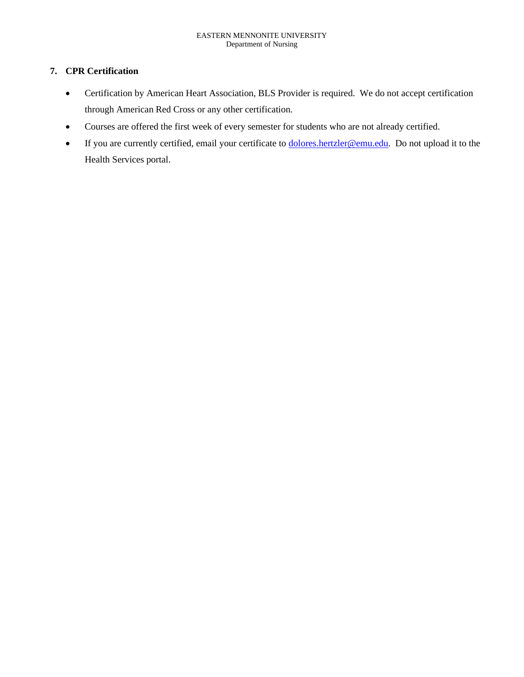# **7. CPR Certification**

- Certification by American Heart Association, BLS Provider is required. We do not accept certification through American Red Cross or any other certification.
- Courses are offered the first week of every semester for students who are not already certified.
- If you are currently certified, email your certificate to **dolores.hertzler@emu.edu**. Do not upload it to the Health Services portal.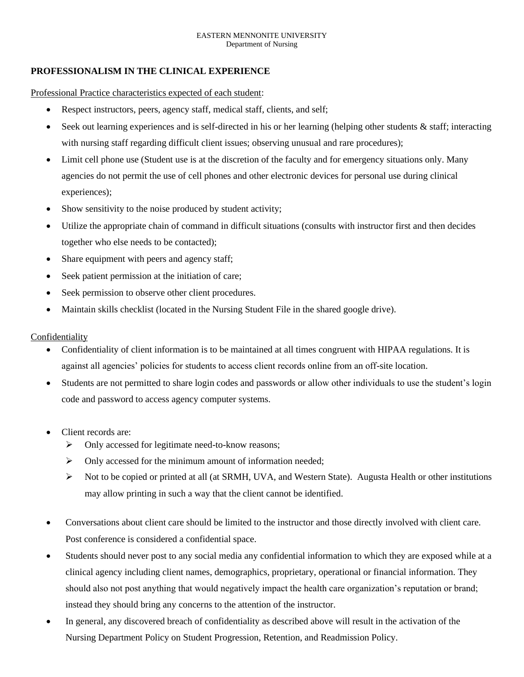# **PROFESSIONALISM IN THE CLINICAL EXPERIENCE**

Professional Practice characteristics expected of each student:

- Respect instructors, peers, agency staff, medical staff, clients, and self;
- Seek out learning experiences and is self-directed in his or her learning (helping other students & staff; interacting with nursing staff regarding difficult client issues; observing unusual and rare procedures);
- Limit cell phone use (Student use is at the discretion of the faculty and for emergency situations only. Many agencies do not permit the use of cell phones and other electronic devices for personal use during clinical experiences);
- Show sensitivity to the noise produced by student activity;
- Utilize the appropriate chain of command in difficult situations (consults with instructor first and then decides together who else needs to be contacted);
- Share equipment with peers and agency staff;
- Seek patient permission at the initiation of care;
- Seek permission to observe other client procedures.
- Maintain skills checklist (located in the Nursing Student File in the shared google drive).

# Confidentiality

- Confidentiality of client information is to be maintained at all times congruent with HIPAA regulations. It is against all agencies' policies for students to access client records online from an off-site location.
- Students are not permitted to share login codes and passwords or allow other individuals to use the student's login code and password to access agency computer systems.
- Client records are:
	- ➢ Only accessed for legitimate need-to-know reasons;
	- ➢ Only accessed for the minimum amount of information needed;
	- $\triangleright$  Not to be copied or printed at all (at SRMH, UVA, and Western State). Augusta Health or other institutions may allow printing in such a way that the client cannot be identified.
- Conversations about client care should be limited to the instructor and those directly involved with client care. Post conference is considered a confidential space.
- Students should never post to any social media any confidential information to which they are exposed while at a clinical agency including client names, demographics, proprietary, operational or financial information. They should also not post anything that would negatively impact the health care organization's reputation or brand; instead they should bring any concerns to the attention of the instructor.
- In general, any discovered breach of confidentiality as described above will result in the activation of the Nursing Department Policy on Student Progression, Retention, and Readmission Policy.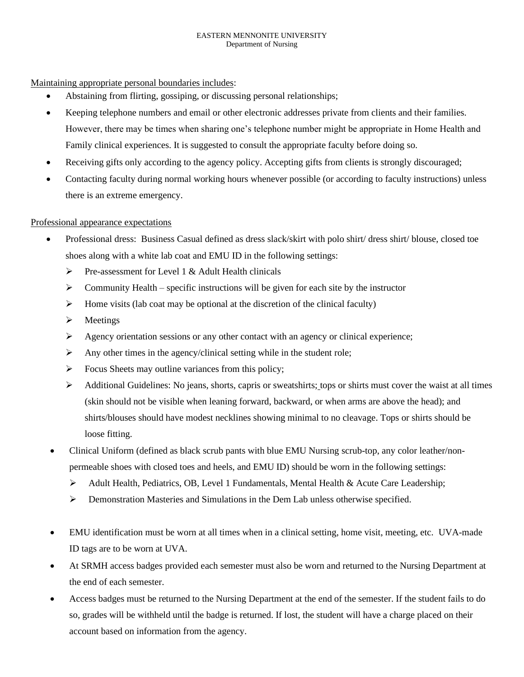Maintaining appropriate personal boundaries includes:

- Abstaining from flirting, gossiping, or discussing personal relationships;
- Keeping telephone numbers and email or other electronic addresses private from clients and their families. However, there may be times when sharing one's telephone number might be appropriate in Home Health and Family clinical experiences. It is suggested to consult the appropriate faculty before doing so.
- Receiving gifts only according to the agency policy. Accepting gifts from clients is strongly discouraged;
- Contacting faculty during normal working hours whenever possible (or according to faculty instructions) unless there is an extreme emergency.

# Professional appearance expectations

- Professional dress: Business Casual defined as dress slack/skirt with polo shirt/ dress shirt/ blouse, closed toe shoes along with a white lab coat and EMU ID in the following settings:
	- $\triangleright$  Pre-assessment for Level 1 & Adult Health clinicals
	- $\triangleright$  Community Health specific instructions will be given for each site by the instructor
	- $\triangleright$  Home visits (lab coat may be optional at the discretion of the clinical faculty)
	- ➢ Meetings
	- $\triangleright$  Agency orientation sessions or any other contact with an agency or clinical experience;
	- $\triangleright$  Any other times in the agency/clinical setting while in the student role;
	- ➢ Focus Sheets may outline variances from this policy;
	- $\triangleright$  Additional Guidelines: No jeans, shorts, capris or sweatshirts; tops or shirts must cover the waist at all times (skin should not be visible when leaning forward, backward, or when arms are above the head); and shirts/blouses should have modest necklines showing minimal to no cleavage. Tops or shirts should be loose fitting.
- Clinical Uniform (defined as black scrub pants with blue EMU Nursing scrub-top, any color leather/nonpermeable shoes with closed toes and heels, and EMU ID) should be worn in the following settings:
	- ➢ Adult Health, Pediatrics, OB, Level 1 Fundamentals, Mental Health & Acute Care Leadership;
	- ➢ Demonstration Masteries and Simulations in the Dem Lab unless otherwise specified.
- EMU identification must be worn at all times when in a clinical setting, home visit, meeting, etc. UVA-made ID tags are to be worn at UVA.
- At SRMH access badges provided each semester must also be worn and returned to the Nursing Department at the end of each semester.
- Access badges must be returned to the Nursing Department at the end of the semester. If the student fails to do so, grades will be withheld until the badge is returned. If lost, the student will have a charge placed on their account based on information from the agency.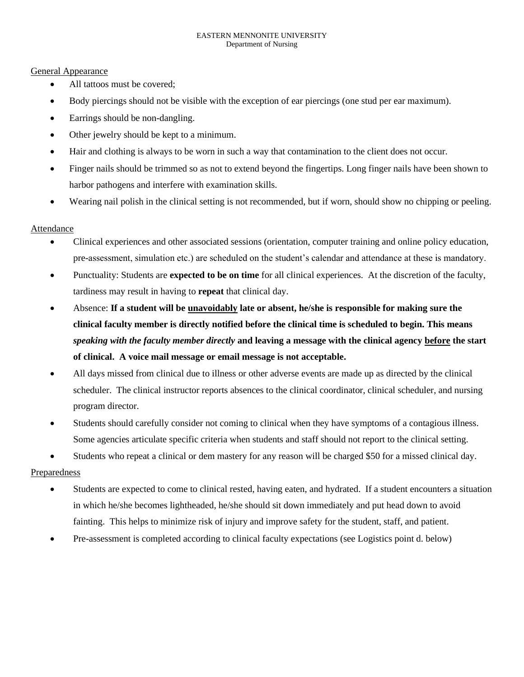## General Appearance

- All tattoos must be covered;
- Body piercings should not be visible with the exception of ear piercings (one stud per ear maximum).
- Earrings should be non-dangling.
- Other jewelry should be kept to a minimum.
- Hair and clothing is always to be worn in such a way that contamination to the client does not occur.
- Finger nails should be trimmed so as not to extend beyond the fingertips. Long finger nails have been shown to harbor pathogens and interfere with examination skills.
- Wearing nail polish in the clinical setting is not recommended, but if worn, should show no chipping or peeling.

# Attendance

- Clinical experiences and other associated sessions (orientation, computer training and online policy education, pre-assessment, simulation etc.) are scheduled on the student's calendar and attendance at these is mandatory.
- Punctuality: Students are **expected to be on time** for all clinical experiences. At the discretion of the faculty, tardiness may result in having to **repeat** that clinical day.
- Absence: **If a student will be unavoidably late or absent, he/she is responsible for making sure the clinical faculty member is directly notified before the clinical time is scheduled to begin. This means**  *speaking with the faculty member directly* **and leaving a message with the clinical agency before the start of clinical. A voice mail message or email message is not acceptable.**
- All days missed from clinical due to illness or other adverse events are made up as directed by the clinical scheduler. The clinical instructor reports absences to the clinical coordinator, clinical scheduler, and nursing program director.
- Students should carefully consider not coming to clinical when they have symptoms of a contagious illness. Some agencies articulate specific criteria when students and staff should not report to the clinical setting.
- Students who repeat a clinical or dem mastery for any reason will be charged \$50 for a missed clinical day.

# Preparedness

- Students are expected to come to clinical rested, having eaten, and hydrated. If a student encounters a situation in which he/she becomes lightheaded, he/she should sit down immediately and put head down to avoid fainting. This helps to minimize risk of injury and improve safety for the student, staff, and patient.
- Pre-assessment is completed according to clinical faculty expectations (see Logistics point d. below)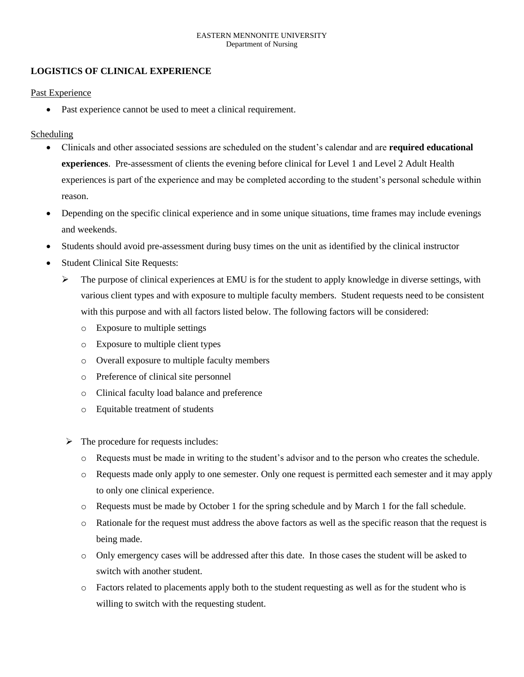# **LOGISTICS OF CLINICAL EXPERIENCE**

## Past Experience

• Past experience cannot be used to meet a clinical requirement.

# Scheduling

- Clinicals and other associated sessions are scheduled on the student's calendar and are **required educational experiences**. Pre-assessment of clients the evening before clinical for Level 1 and Level 2 Adult Health experiences is part of the experience and may be completed according to the student's personal schedule within reason.
- Depending on the specific clinical experience and in some unique situations, time frames may include evenings and weekends.
- Students should avoid pre-assessment during busy times on the unit as identified by the clinical instructor
- Student Clinical Site Requests:
	- $\triangleright$  The purpose of clinical experiences at EMU is for the student to apply knowledge in diverse settings, with various client types and with exposure to multiple faculty members. Student requests need to be consistent with this purpose and with all factors listed below. The following factors will be considered:
		- o Exposure to multiple settings
		- o Exposure to multiple client types
		- o Overall exposure to multiple faculty members
		- o Preference of clinical site personnel
		- o Clinical faculty load balance and preference
		- o Equitable treatment of students
	- $\triangleright$  The procedure for requests includes:
		- o Requests must be made in writing to the student's advisor and to the person who creates the schedule.
		- o Requests made only apply to one semester. Only one request is permitted each semester and it may apply to only one clinical experience.
		- o Requests must be made by October 1 for the spring schedule and by March 1 for the fall schedule.
		- o Rationale for the request must address the above factors as well as the specific reason that the request is being made.
		- o Only emergency cases will be addressed after this date. In those cases the student will be asked to switch with another student.
		- o Factors related to placements apply both to the student requesting as well as for the student who is willing to switch with the requesting student.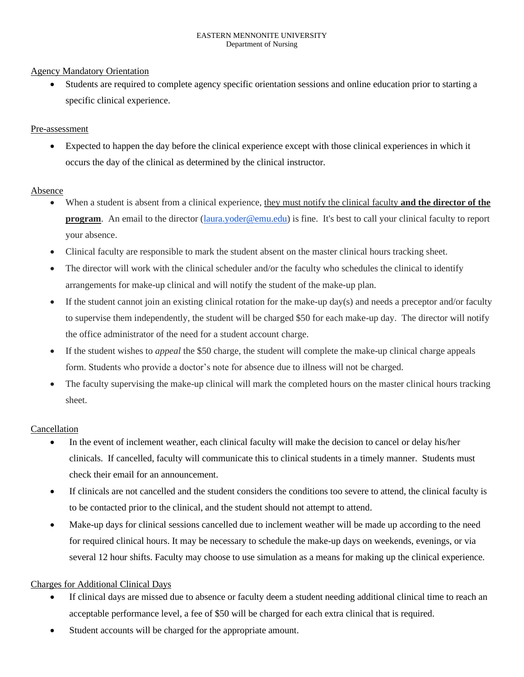# Agency Mandatory Orientation

Students are required to complete agency specific orientation sessions and online education prior to starting a specific clinical experience.

# Pre-assessment

• Expected to happen the day before the clinical experience except with those clinical experiences in which it occurs the day of the clinical as determined by the clinical instructor.

# Absence

- When a student is absent from a clinical experience, they must notify the clinical faculty **and the director of the program**. An email to the director [\(laura.yoder@emu.edu\)](mailto:laura.yoder@emu.edu) is fine. It's best to call your clinical faculty to report your absence.
- Clinical faculty are responsible to mark the student absent on the master clinical hours tracking sheet.
- The director will work with the clinical scheduler and/or the faculty who schedules the clinical to identify arrangements for make-up clinical and will notify the student of the make-up plan.
- If the student cannot join an existing clinical rotation for the make-up day(s) and needs a preceptor and/or faculty to supervise them independently, the student will be charged \$50 for each make-up day. The director will notify the office administrator of the need for a student account charge.
- If the student wishes to *appeal* the \$50 charge, the student will complete the make-up clinical charge appeals form. Students who provide a doctor's note for absence due to illness will not be charged.
- The faculty supervising the make-up clinical will mark the completed hours on the master clinical hours tracking sheet.

# Cancellation

- In the event of inclement weather, each clinical faculty will make the decision to cancel or delay his/her clinicals. If cancelled, faculty will communicate this to clinical students in a timely manner. Students must check their email for an announcement.
- If clinicals are not cancelled and the student considers the conditions too severe to attend, the clinical faculty is to be contacted prior to the clinical, and the student should not attempt to attend.
- Make-up days for clinical sessions cancelled due to inclement weather will be made up according to the need for required clinical hours. It may be necessary to schedule the make-up days on weekends, evenings, or via several 12 hour shifts. Faculty may choose to use simulation as a means for making up the clinical experience.

# Charges for Additional Clinical Days

- If clinical days are missed due to absence or faculty deem a student needing additional clinical time to reach an acceptable performance level, a fee of \$50 will be charged for each extra clinical that is required.
- Student accounts will be charged for the appropriate amount.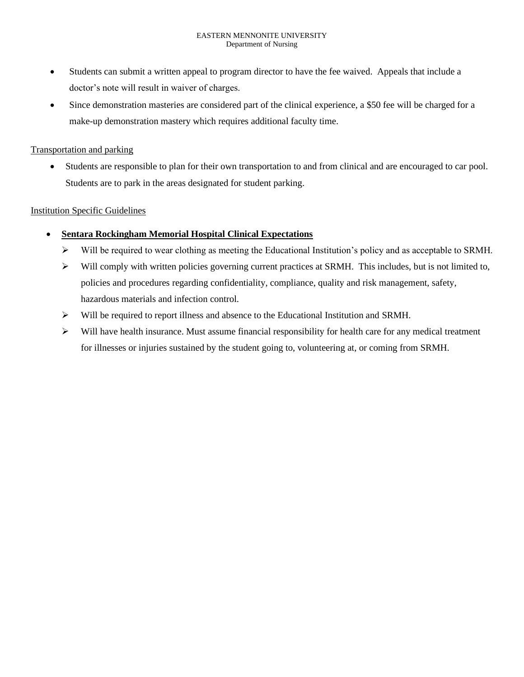- Students can submit a written appeal to program director to have the fee waived. Appeals that include a doctor's note will result in waiver of charges.
- Since demonstration masteries are considered part of the clinical experience, a \$50 fee will be charged for a make-up demonstration mastery which requires additional faculty time.

# Transportation and parking

• Students are responsible to plan for their own transportation to and from clinical and are encouraged to car pool. Students are to park in the areas designated for student parking.

# Institution Specific Guidelines

- <span id="page-44-0"></span>• **Sentara Rockingham Memorial Hospital Clinical Expectations**
	- ➢ Will be required to wear clothing as meeting the Educational Institution's policy and as acceptable to SRMH.
	- ➢ Will comply with written policies governing current practices at SRMH. This includes, but is not limited to, policies and procedures regarding confidentiality, compliance, quality and risk management, safety, hazardous materials and infection control.
	- ➢ Will be required to report illness and absence to the Educational Institution and SRMH.
	- $\triangleright$  Will have health insurance. Must assume financial responsibility for health care for any medical treatment for illnesses or injuries sustained by the student going to, volunteering at, or coming from SRMH.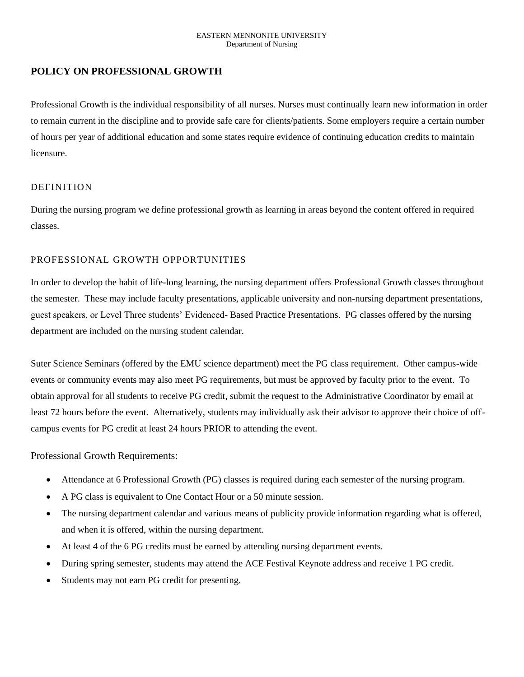# **POLICY ON PROFESSIONAL GROWTH**

Professional Growth is the individual responsibility of all nurses. Nurses must continually learn new information in order to remain current in the discipline and to provide safe care for clients/patients. Some employers require a certain number of hours per year of additional education and some states require evidence of continuing education credits to maintain licensure.

## DEFINITION

During the nursing program we define professional growth as learning in areas beyond the content offered in required classes.

# PROFESSIONAL GROWTH OPPORTUNITIES

In order to develop the habit of life-long learning, the nursing department offers Professional Growth classes throughout the semester. These may include faculty presentations, applicable university and non-nursing department presentations, guest speakers, or Level Three students' Evidenced- Based Practice Presentations. PG classes offered by the nursing department are included on the nursing student calendar.

Suter Science Seminars (offered by the EMU science department) meet the PG class requirement. Other campus-wide events or community events may also meet PG requirements, but must be approved by faculty prior to the event. To obtain approval for all students to receive PG credit, submit the request to the Administrative Coordinator by email at least 72 hours before the event. Alternatively, students may individually ask their advisor to approve their choice of offcampus events for PG credit at least 24 hours PRIOR to attending the event.

# Professional Growth Requirements:

- Attendance at 6 Professional Growth (PG) classes is required during each semester of the nursing program.
- A PG class is equivalent to One Contact Hour or a 50 minute session.
- The nursing department calendar and various means of publicity provide information regarding what is offered, and when it is offered, within the nursing department.
- At least 4 of the 6 PG credits must be earned by attending nursing department events.
- During spring semester, students may attend the ACE Festival Keynote address and receive 1 PG credit.
- Students may not earn PG credit for presenting.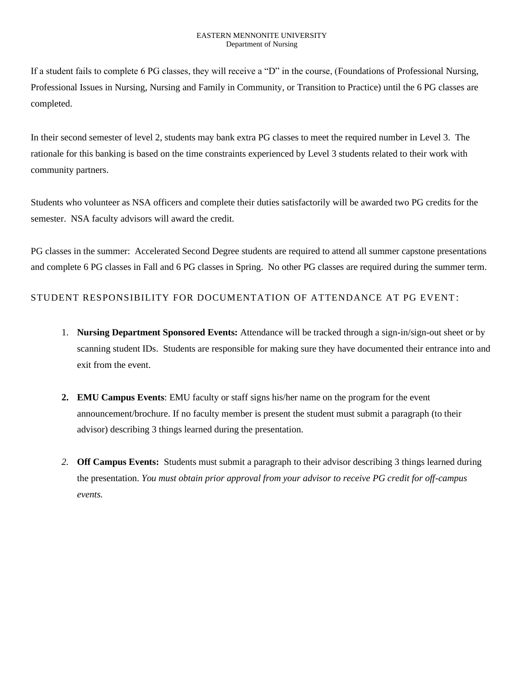If a student fails to complete 6 PG classes, they will receive a "D" in the course, (Foundations of Professional Nursing, Professional Issues in Nursing, Nursing and Family in Community, or Transition to Practice) until the 6 PG classes are completed.

In their second semester of level 2, students may bank extra PG classes to meet the required number in Level 3. The rationale for this banking is based on the time constraints experienced by Level 3 students related to their work with community partners.

Students who volunteer as NSA officers and complete their duties satisfactorily will be awarded two PG credits for the semester. NSA faculty advisors will award the credit.

PG classes in the summer: Accelerated Second Degree students are required to attend all summer capstone presentations and complete 6 PG classes in Fall and 6 PG classes in Spring. No other PG classes are required during the summer term.

STUDENT RESPONSIBILITY FOR DOCUMENTATION OF ATTENDANCE AT PG EVENT :

- 1. **Nursing Department Sponsored Events:** Attendance will be tracked through a sign-in/sign-out sheet or by scanning student IDs. Students are responsible for making sure they have documented their entrance into and exit from the event.
- **2. EMU Campus Events**: EMU faculty or staff signs his/her name on the program for the event announcement/brochure. If no faculty member is present the student must submit a paragraph (to their advisor) describing 3 things learned during the presentation.
- <span id="page-46-0"></span>*2.* **Off Campus Events:** Students must submit a paragraph to their advisor describing 3 things learned during the presentation. *You must obtain prior approval from your advisor to receive PG credit for off-campus events.*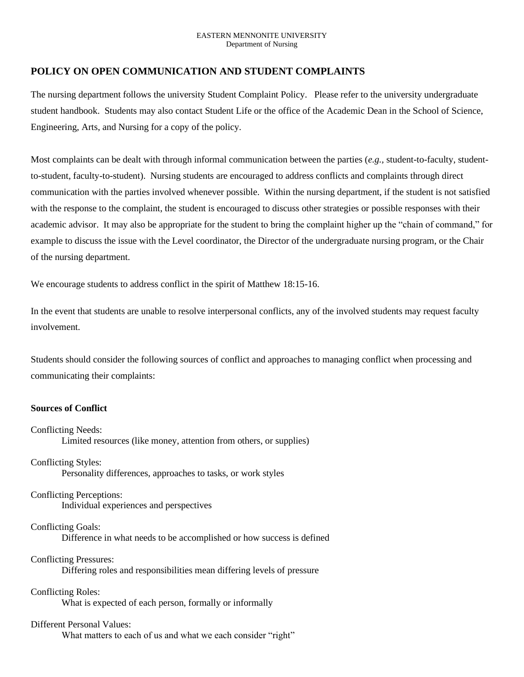# **POLICY ON OPEN COMMUNICATION AND STUDENT COMPLAINTS**

The nursing department follows the university Student Complaint Policy. Please refer to the university undergraduate student handbook. Students may also contact Student Life or the office of the Academic Dean in the School of Science, Engineering, Arts, and Nursing for a copy of the policy.

Most complaints can be dealt with through informal communication between the parties (*e.g.,* student-to-faculty, studentto-student, faculty-to-student). Nursing students are encouraged to address conflicts and complaints through direct communication with the parties involved whenever possible. Within the nursing department, if the student is not satisfied with the response to the complaint, the student is encouraged to discuss other strategies or possible responses with their academic advisor. It may also be appropriate for the student to bring the complaint higher up the "chain of command," for example to discuss the issue with the Level coordinator, the Director of the undergraduate nursing program, or the Chair of the nursing department.

We encourage students to address conflict in the spirit of Matthew 18:15-16.

In the event that students are unable to resolve interpersonal conflicts, any of the involved students may request faculty involvement.

Students should consider the following sources of conflict and approaches to managing conflict when processing and communicating their complaints:

## **Sources of Conflict**

Conflicting Needs: Limited resources (like money, attention from others, or supplies)

Conflicting Styles: Personality differences, approaches to tasks, or work styles

# Conflicting Perceptions: Individual experiences and perspectives

Conflicting Goals: Difference in what needs to be accomplished or how success is defined

Conflicting Pressures: Differing roles and responsibilities mean differing levels of pressure

Conflicting Roles: What is expected of each person, formally or informally

## Different Personal Values:

What matters to each of us and what we each consider "right"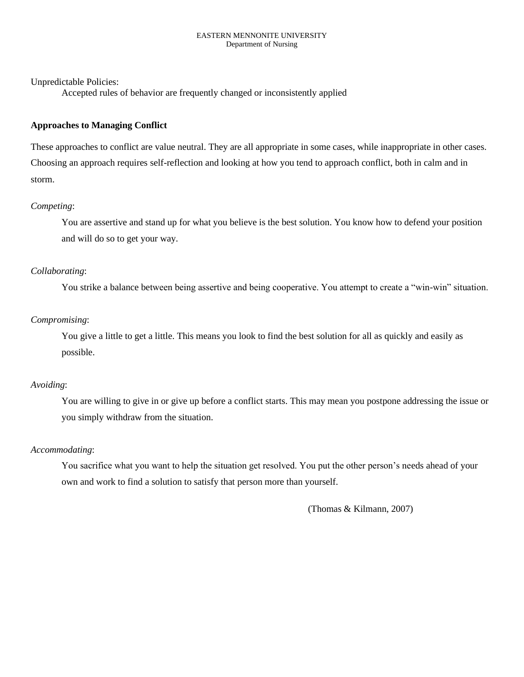Unpredictable Policies:

Accepted rules of behavior are frequently changed or inconsistently applied

## **Approaches to Managing Conflict**

These approaches to conflict are value neutral. They are all appropriate in some cases, while inappropriate in other cases. Choosing an approach requires self-reflection and looking at how you tend to approach conflict, both in calm and in storm.

# *Competing*:

You are assertive and stand up for what you believe is the best solution. You know how to defend your position and will do so to get your way.

## *Collaborating*:

You strike a balance between being assertive and being cooperative. You attempt to create a "win-win" situation.

# *Compromising*:

You give a little to get a little. This means you look to find the best solution for all as quickly and easily as possible.

## *Avoiding*:

You are willing to give in or give up before a conflict starts. This may mean you postpone addressing the issue or you simply withdraw from the situation.

## *Accommodating*:

You sacrifice what you want to help the situation get resolved. You put the other person's needs ahead of your own and work to find a solution to satisfy that person more than yourself.

(Thomas & Kilmann, 2007)